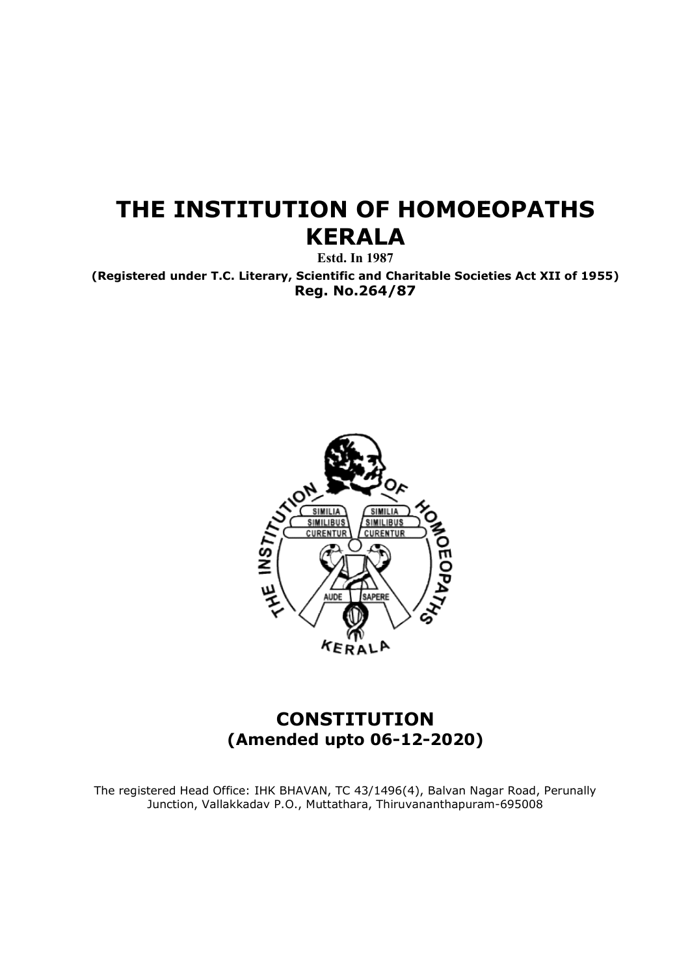# THE INSTITUTION OF HOMOEOPATHS KERALA

Estd. In 1987

(Registered under T.C. Literary, Scientific and Charitable Societies Act XII of 1955) Reg. No.264/87



# (Am (Amended upto 06-12-2020) **CONSTITUTION**

The registered Head Office: IHK BHAVAN, TC 43/1496(4), Balvan Nagar Road, Perunally The registered Head Office: IHK BHAVAN, TC 43/1496(4), Balvan Nagar Road, Perunally Junction, Vallakkadav P.O., Muttathara, Thiruvananthapuram Junction, Vallakkadav P.O., Muttathara, Thiruvananthapuram-695008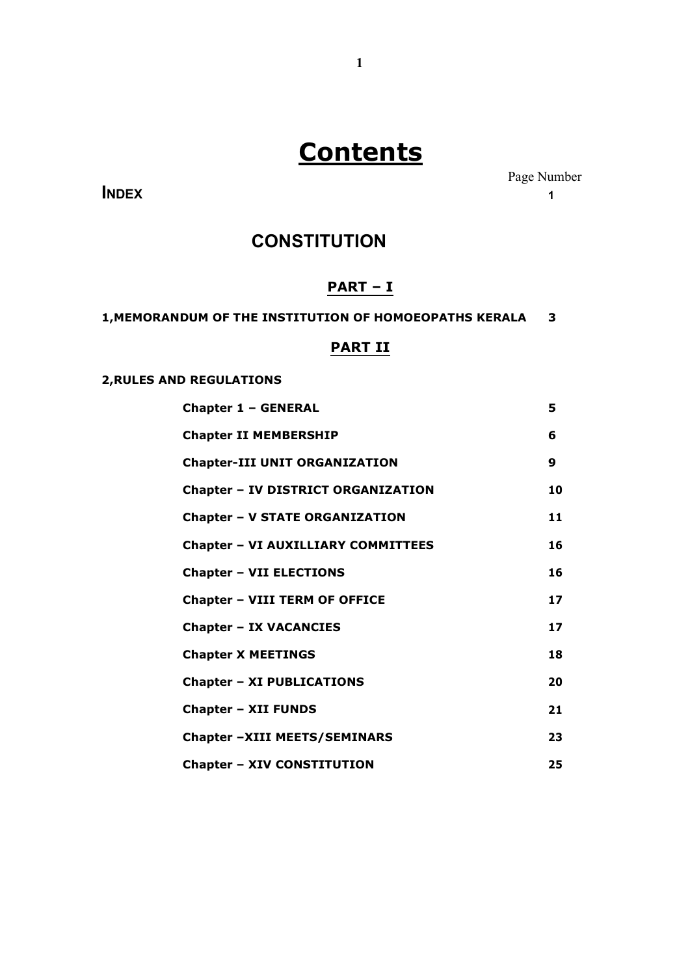# **Contents**

**INDEX** 1

Page Number

# **CONSTITUTION**

# PART – I

1,MEMORANDUM OF THE INSTITUTION OF HOMOEOPATHS KERALA 3

# PART II

# 2,RULES AND REGULATIONS

| <b>Chapter 1 - GENERAL</b>                | 5                |
|-------------------------------------------|------------------|
| <b>Chapter II MEMBERSHIP</b>              | 6                |
| <b>Chapter-III UNIT ORGANIZATION</b>      | $\boldsymbol{9}$ |
| <b>Chapter - IV DISTRICT ORGANIZATION</b> | 10               |
| <b>Chapter - V STATE ORGANIZATION</b>     | 11               |
| <b>Chapter - VI AUXILLIARY COMMITTEES</b> | 16               |
| <b>Chapter - VII ELECTIONS</b>            | 16               |
| <b>Chapter - VIII TERM OF OFFICE</b>      | 17               |
| <b>Chapter - IX VACANCIES</b>             | 17               |
| <b>Chapter X MEETINGS</b>                 | 18               |
| <b>Chapter - XI PUBLICATIONS</b>          | 20               |
| <b>Chapter - XII FUNDS</b>                | 21               |
| Chapter -XIII MEETS/SEMINARS              | 23               |
| <b>Chapter - XIV CONSTITUTION</b>         | 25               |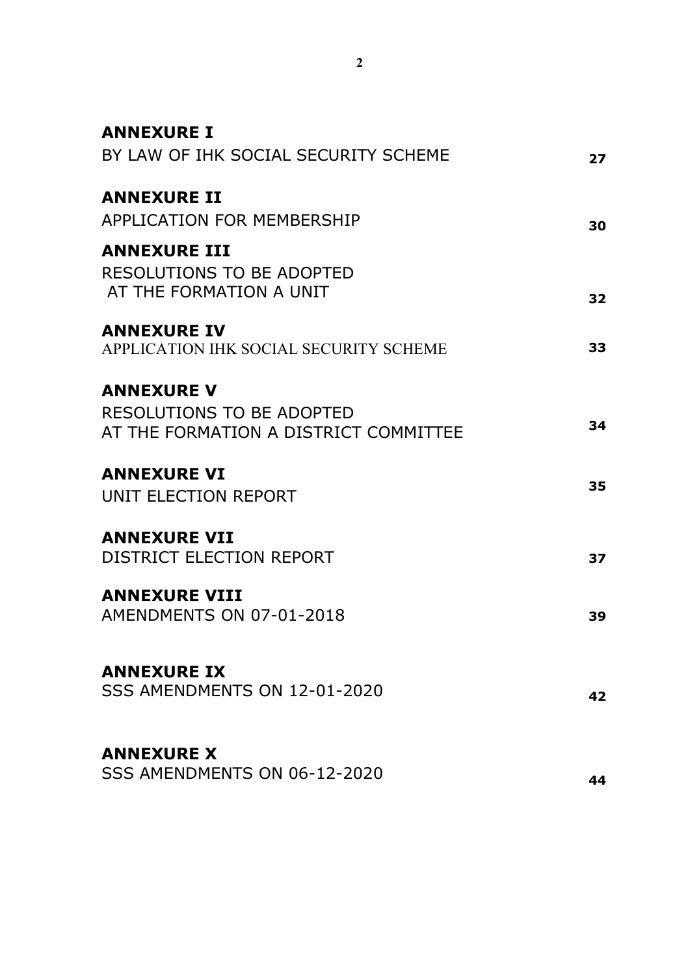| <b>ANNEXURE I</b>                      |    |
|----------------------------------------|----|
| BY LAW OF IHK SOCIAL SECURITY SCHEME   | 27 |
| <b>ANNEXURE II</b>                     |    |
| <b>APPLICATION FOR MEMBERSHIP</b>      | 30 |
| <b>ANNEXURE III</b>                    |    |
| RESOLUTIONS TO BE ADOPTED              |    |
| AT THE FORMATION A UNIT                |    |
|                                        | 32 |
| <b>ANNEXURE IV</b>                     |    |
| APPLICATION IHK SOCIAL SECURITY SCHEME | 33 |
|                                        |    |
| <b>ANNEXURE V</b>                      |    |
| RESOLUTIONS TO BE ADOPTED              |    |
| AT THE FORMATION A DISTRICT COMMITTEE  | 34 |
|                                        |    |
| <b>ANNEXURE VI</b>                     |    |
| UNIT ELECTION REPORT                   | 35 |
|                                        |    |
| <b>ANNEXURE VII</b>                    |    |
| DISTRICT ELECTION REPORT               | 37 |
|                                        |    |
| <b>ANNEXURE VIII</b>                   |    |
| AMENDMENTS ON 07-01-2018               | 39 |
|                                        |    |
| <b>ANNEXURE IX</b>                     |    |
| SSS AMENDMENTS ON 12-01-2020           | 42 |
|                                        |    |
|                                        |    |
| <b>ANNEXURE X</b>                      |    |
| SSS AMENDMENTS ON 06-12-2020           | 44 |
|                                        |    |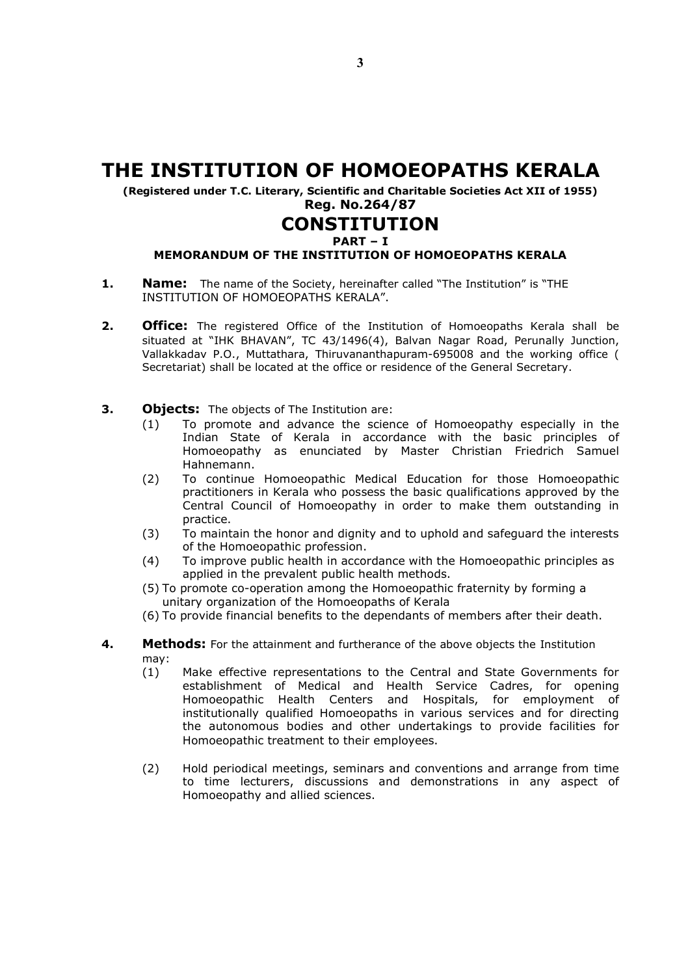# THE INSTITUTION OF HOMOEOPATHS KERALA

(Registered under T.C. Literary, Scientific and Charitable Societies Act XII of 1955) Reg. No.264/87

# **CONSTITUTION**

### PART – I

# MEMORANDUM OF THE INSTITUTION OF HOMOEOPATHS KERALA

- 1. Name: The name of the Society, hereinafter called "The Institution" is "THE INSTITUTION OF HOMOEOPATHS KERALA".
- **2. Office:** The registered Office of the Institution of Homoeopaths Kerala shall be situated at "IHK BHAVAN", TC 43/1496(4), Balvan Nagar Road, Perunally Junction, Vallakkadav P.O., Muttathara, Thiruvananthapuram-695008 and the working office ( Secretariat) shall be located at the office or residence of the General Secretary.
- **3.** Objects: The objects of The Institution are:
	- (1) To promote and advance the science of Homoeopathy especially in the Indian State of Kerala in accordance with the basic principles of Homoeopathy as enunciated by Master Christian Friedrich Samuel Hahnemann.
	- (2) To continue Homoeopathic Medical Education for those Homoeopathic practitioners in Kerala who possess the basic qualifications approved by the Central Council of Homoeopathy in order to make them outstanding in practice.
	- (3) To maintain the honor and dignity and to uphold and safeguard the interests of the Homoeopathic profession.
	- (4) To improve public health in accordance with the Homoeopathic principles as applied in the prevalent public health methods.
	- (5) To promote co-operation among the Homoeopathic fraternity by forming a unitary organization of the Homoeopaths of Kerala
	- (6) To provide financial benefits to the dependants of members after their death.
- 4. Methods: For the attainment and furtherance of the above objects the Institution may:
	- (1) Make effective representations to the Central and State Governments for establishment of Medical and Health Service Cadres, for opening Homoeopathic Health Centers and Hospitals, for employment of institutionally qualified Homoeopaths in various services and for directing the autonomous bodies and other undertakings to provide facilities for Homoeopathic treatment to their employees.
	- (2) Hold periodical meetings, seminars and conventions and arrange from time to time lecturers, discussions and demonstrations in any aspect of Homoeopathy and allied sciences.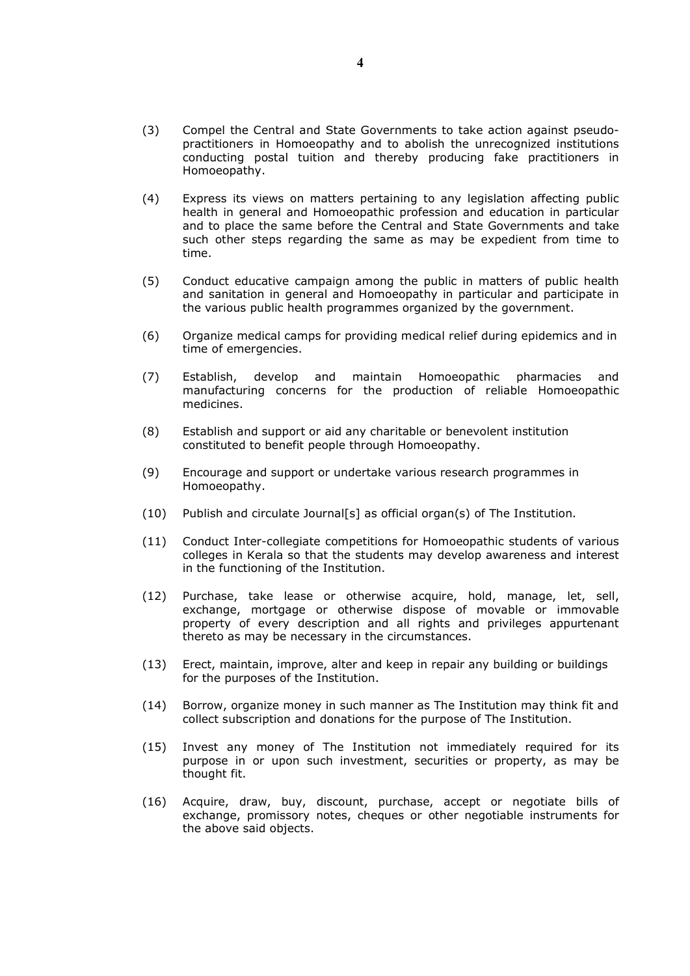- (3) Compel the Central and State Governments to take action against pseudopractitioners in Homoeopathy and to abolish the unrecognized institutions conducting postal tuition and thereby producing fake practitioners in Homoeopathy.
- (4) Express its views on matters pertaining to any legislation affecting public health in general and Homoeopathic profession and education in particular and to place the same before the Central and State Governments and take such other steps regarding the same as may be expedient from time to time.
- (5) Conduct educative campaign among the public in matters of public health and sanitation in general and Homoeopathy in particular and participate in the various public health programmes organized by the government.
- (6) Organize medical camps for providing medical relief during epidemics and in time of emergencies.
- (7) Establish, develop and maintain Homoeopathic pharmacies and manufacturing concerns for the production of reliable Homoeopathic medicines.
- (8) Establish and support or aid any charitable or benevolent institution constituted to benefit people through Homoeopathy.
- (9) Encourage and support or undertake various research programmes in Homoeopathy.
- (10) Publish and circulate Journal[s] as official organ(s) of The Institution.
- (11) Conduct Inter-collegiate competitions for Homoeopathic students of various colleges in Kerala so that the students may develop awareness and interest in the functioning of the Institution.
- (12) Purchase, take lease or otherwise acquire, hold, manage, let, sell, exchange, mortgage or otherwise dispose of movable or immovable property of every description and all rights and privileges appurtenant thereto as may be necessary in the circumstances.
- (13) Erect, maintain, improve, alter and keep in repair any building or buildings for the purposes of the Institution.
- (14) Borrow, organize money in such manner as The Institution may think fit and collect subscription and donations for the purpose of The Institution.
- (15) Invest any money of The Institution not immediately required for its purpose in or upon such investment, securities or property, as may be thought fit.
- (16) Acquire, draw, buy, discount, purchase, accept or negotiate bills of exchange, promissory notes, cheques or other negotiable instruments for the above said objects.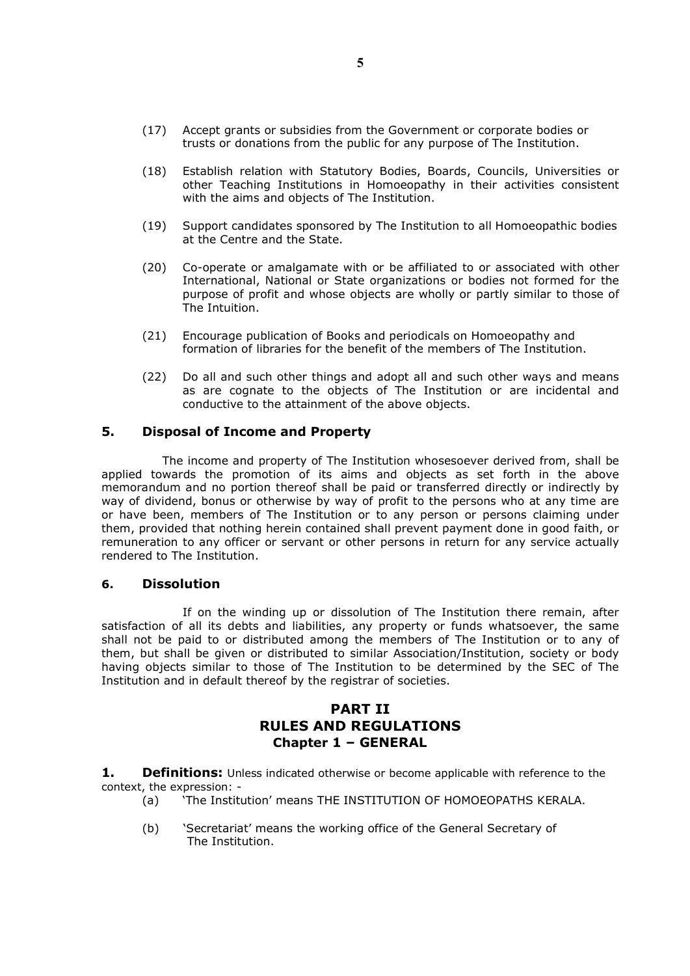- (17) Accept grants or subsidies from the Government or corporate bodies or trusts or donations from the public for any purpose of The Institution.
- (18) Establish relation with Statutory Bodies, Boards, Councils, Universities or other Teaching Institutions in Homoeopathy in their activities consistent with the aims and objects of The Institution.
- (19) Support candidates sponsored by The Institution to all Homoeopathic bodies at the Centre and the State.
- (20) Co-operate or amalgamate with or be affiliated to or associated with other International, National or State organizations or bodies not formed for the purpose of profit and whose objects are wholly or partly similar to those of The Intuition.
- (21) Encourage publication of Books and periodicals on Homoeopathy and formation of libraries for the benefit of the members of The Institution.
- (22) Do all and such other things and adopt all and such other ways and means as are cognate to the objects of The Institution or are incidental and conductive to the attainment of the above objects.

### 5. Disposal of Income and Property

The income and property of The Institution whosesoever derived from, shall be applied towards the promotion of its aims and objects as set forth in the above memorandum and no portion thereof shall be paid or transferred directly or indirectly by way of dividend, bonus or otherwise by way of profit to the persons who at any time are or have been, members of The Institution or to any person or persons claiming under them, provided that nothing herein contained shall prevent payment done in good faith, or remuneration to any officer or servant or other persons in return for any service actually rendered to The Institution.

### 6. Dissolution

If on the winding up or dissolution of The Institution there remain, after satisfaction of all its debts and liabilities, any property or funds whatsoever, the same shall not be paid to or distributed among the members of The Institution or to any of them, but shall be given or distributed to similar Association/Institution, society or body having objects similar to those of The Institution to be determined by the SEC of The Institution and in default thereof by the registrar of societies.

# PART II RULES AND REGULATIONS Chapter 1 – GENERAL

**1.** Definitions: Unless indicated otherwise or become applicable with reference to the context, the expression: -

- (a) 'The Institution' means THE INSTITUTION OF HOMOEOPATHS KERALA.
- (b) 'Secretariat' means the working office of the General Secretary of The Institution.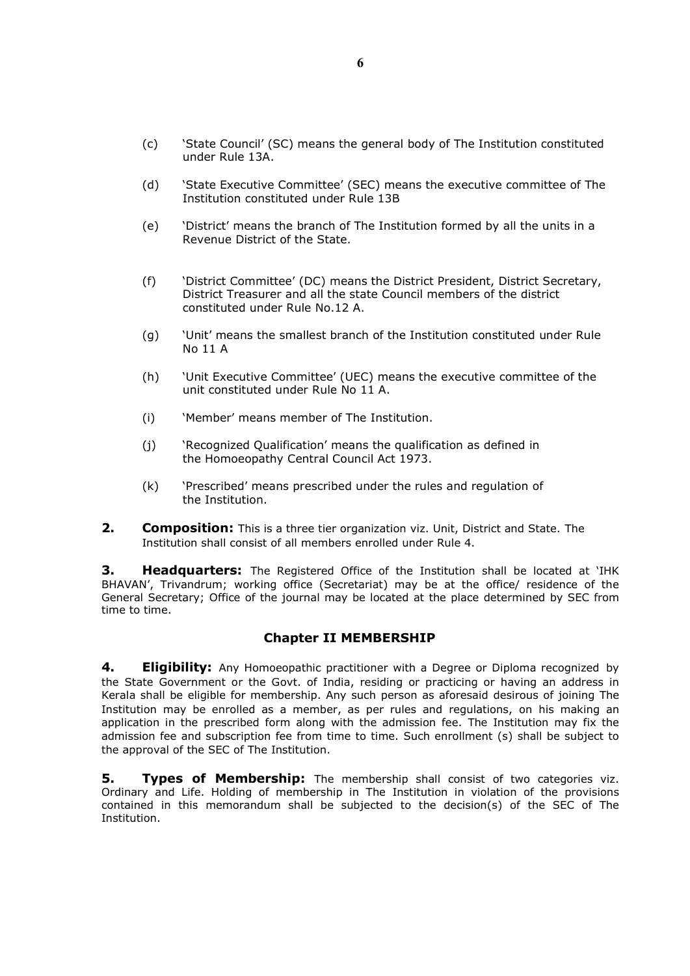- (c) 'State Council' (SC) means the general body of The Institution constituted under Rule 13A.
- (d) 'State Executive Committee' (SEC) means the executive committee of The Institution constituted under Rule 13B
- (e) 'District' means the branch of The Institution formed by all the units in a Revenue District of the State.
- (f) 'District Committee' (DC) means the District President, District Secretary, District Treasurer and all the state Council members of the district constituted under Rule No.12 A.
- (g) 'Unit' means the smallest branch of the Institution constituted under Rule No 11 A
- (h) 'Unit Executive Committee' (UEC) means the executive committee of the unit constituted under Rule No 11 A.
- (i) 'Member' means member of The Institution.
- (j) 'Recognized Qualification' means the qualification as defined in the Homoeopathy Central Council Act 1973.
- (k) 'Prescribed' means prescribed under the rules and regulation of the Institution.
- 2. Composition: This is a three tier organization viz. Unit, District and State. The Institution shall consist of all members enrolled under Rule 4.

**3. Headquarters:** The Registered Office of the Institution shall be located at 'IHK BHAVAN', Trivandrum; working office (Secretariat) may be at the office/ residence of the General Secretary; Office of the journal may be located at the place determined by SEC from time to time.

# Chapter II MEMBERSHIP

4. **Eligibility:** Any Homoeopathic practitioner with a Degree or Diploma recognized by the State Government or the Govt. of India, residing or practicing or having an address in Kerala shall be eligible for membership. Any such person as aforesaid desirous of joining The Institution may be enrolled as a member, as per rules and regulations, on his making an application in the prescribed form along with the admission fee. The Institution may fix the admission fee and subscription fee from time to time. Such enrollment (s) shall be subject to the approval of the SEC of The Institution.

**5.** Types of Membership: The membership shall consist of two categories viz. Ordinary and Life. Holding of membership in The Institution in violation of the provisions contained in this memorandum shall be subjected to the decision(s) of the SEC of The Institution.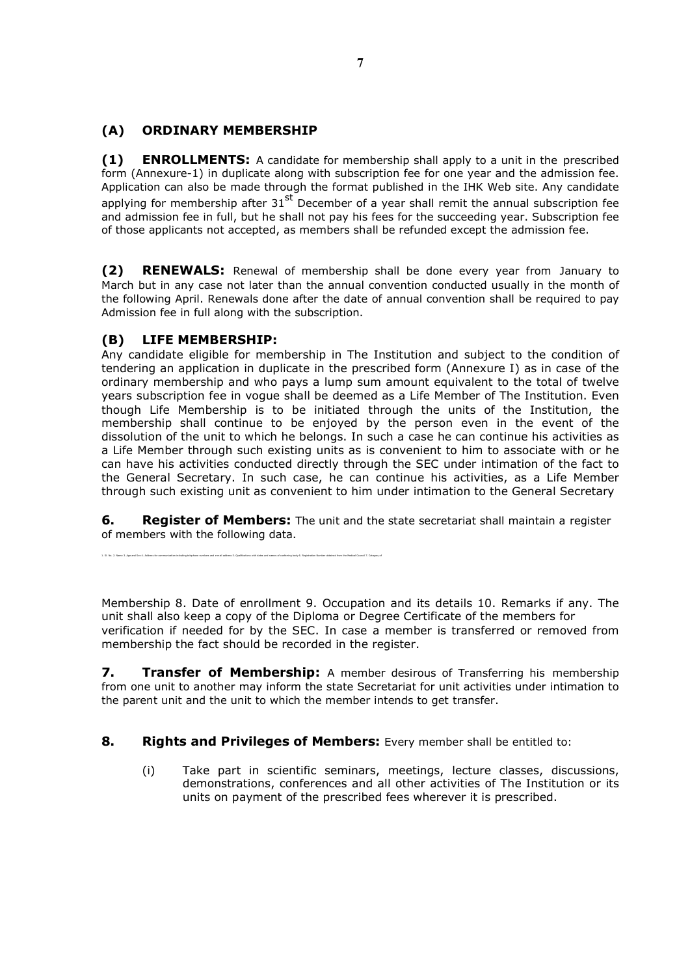# (A) ORDINARY MEMBERSHIP

(1) ENROLLMENTS: A candidate for membership shall apply to a unit in the prescribed form (Annexure-1) in duplicate along with subscription fee for one year and the admission fee. Application can also be made through the format published in the IHK Web site. Any candidate applying for membership after  $31<sup>st</sup>$  December of a year shall remit the annual subscription fee and admission fee in full, but he shall not pay his fees for the succeeding year. Subscription fee of those applicants not accepted, as members shall be refunded except the admission fee.

(2) RENEWALS: Renewal of membership shall be done every year from January to March but in any case not later than the annual convention conducted usually in the month of the following April. Renewals done after the date of annual convention shall be required to pay Admission fee in full along with the subscription.

# (B) LIFE MEMBERSHIP:

Any candidate eligible for membership in The Institution and subject to the condition of tendering an application in duplicate in the prescribed form (Annexure I) as in case of the ordinary membership and who pays a lump sum amount equivalent to the total of twelve years subscription fee in vogue shall be deemed as a Life Member of The Institution. Even though Life Membership is to be initiated through the units of the Institution, the membership shall continue to be enjoyed by the person even in the event of the dissolution of the unit to which he belongs. In such a case he can continue his activities as a Life Member through such existing units as is convenient to him to associate with or he can have his activities conducted directly through the SEC under intimation of the fact to the General Secretary. In such case, he can continue his activities, as a Life Member through such existing unit as convenient to him under intimation to the General Secretary

**6.** Register of Members: The unit and the state secretariat shall maintain a register of members with the following data.

1. S. No. 2. Name 3. Age and Sex 4. Address for communication including telephone numbers and e-mail address 5. Qualifications with dates and names of conferring body 6. Registration Number obtained from the Medical Counci

Membership 8. Date of enrollment 9. Occupation and its details 10. Remarks if any. The unit shall also keep a copy of the Diploma or Degree Certificate of the members for verification if needed for by the SEC. In case a member is transferred or removed from membership the fact should be recorded in the register.

**7.** Transfer of Membership: A member desirous of Transferring his membership from one unit to another may inform the state Secretariat for unit activities under intimation to the parent unit and the unit to which the member intends to get transfer.

# 8. Rights and Privileges of Members: Every member shall be entitled to:

(i) Take part in scientific seminars, meetings, lecture classes, discussions, demonstrations, conferences and all other activities of The Institution or its units on payment of the prescribed fees wherever it is prescribed.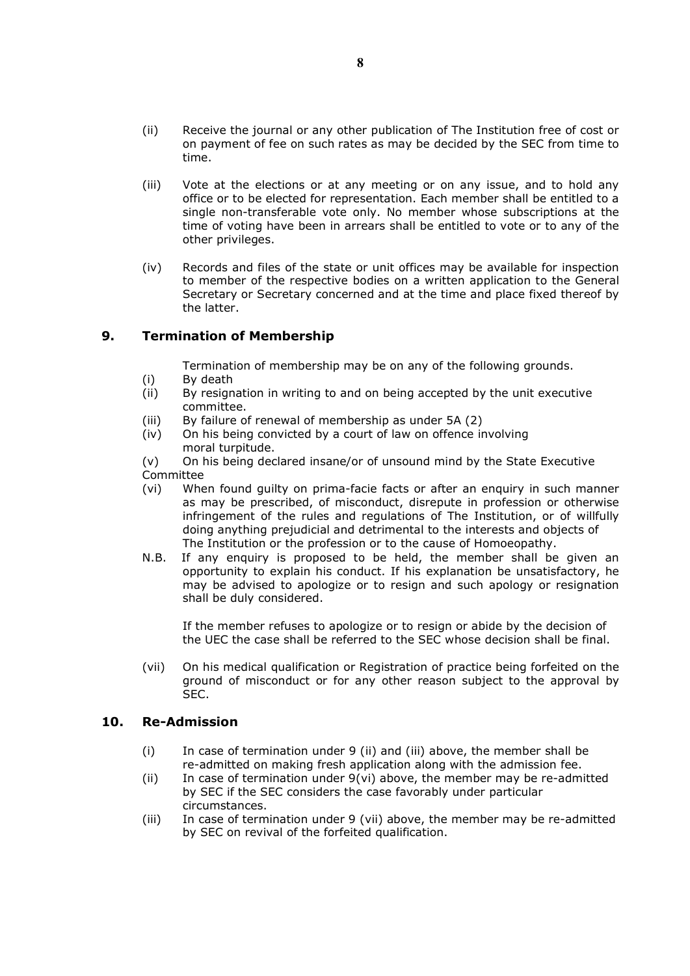- (ii) Receive the journal or any other publication of The Institution free of cost or on payment of fee on such rates as may be decided by the SEC from time to time.
- (iii) Vote at the elections or at any meeting or on any issue, and to hold any office or to be elected for representation. Each member shall be entitled to a single non-transferable vote only. No member whose subscriptions at the time of voting have been in arrears shall be entitled to vote or to any of the other privileges.
- (iv) Records and files of the state or unit offices may be available for inspection to member of the respective bodies on a written application to the General Secretary or Secretary concerned and at the time and place fixed thereof by the latter.

# 9. Termination of Membership

Termination of membership may be on any of the following grounds.

- (i) By death
- (ii) By resignation in writing to and on being accepted by the unit executive committee.
- (iii) By failure of renewal of membership as under 5A (2)
- (iv) On his being convicted by a court of law on offence involving moral turpitude.

(v) On his being declared insane/or of unsound mind by the State Executive Committee

- (vi) When found guilty on prima-facie facts or after an enquiry in such manner as may be prescribed, of misconduct, disrepute in profession or otherwise infringement of the rules and regulations of The Institution, or of willfully doing anything prejudicial and detrimental to the interests and objects of The Institution or the profession or to the cause of Homoeopathy.
- N.B. If any enquiry is proposed to be held, the member shall be given an opportunity to explain his conduct. If his explanation be unsatisfactory, he may be advised to apologize or to resign and such apology or resignation shall be duly considered.

If the member refuses to apologize or to resign or abide by the decision of the UEC the case shall be referred to the SEC whose decision shall be final.

(vii) On his medical qualification or Registration of practice being forfeited on the ground of misconduct or for any other reason subject to the approval by SEC.

# 10. Re-Admission

- (i) In case of termination under 9 (ii) and (iii) above, the member shall be re-admitted on making fresh application along with the admission fee.
- (ii) In case of termination under 9(vi) above, the member may be re-admitted by SEC if the SEC considers the case favorably under particular circumstances.
- (iii) In case of termination under 9 (vii) above, the member may be re-admitted by SEC on revival of the forfeited qualification.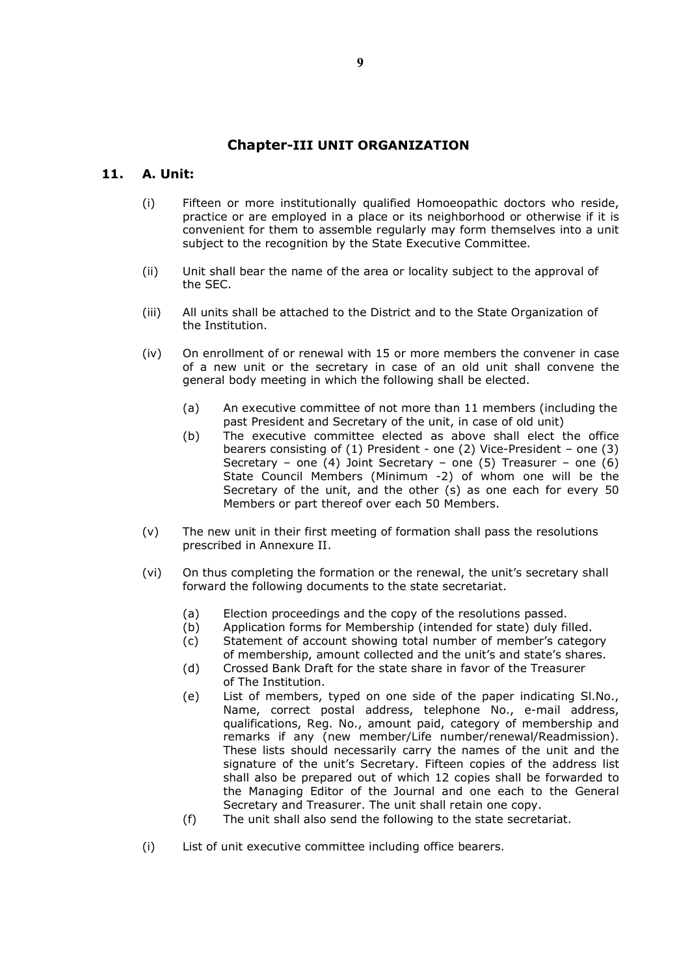# Chapter-III UNIT ORGANIZATION

### 11. A. Unit:

- (i) Fifteen or more institutionally qualified Homoeopathic doctors who reside, practice or are employed in a place or its neighborhood or otherwise if it is convenient for them to assemble regularly may form themselves into a unit subject to the recognition by the State Executive Committee.
- (ii) Unit shall bear the name of the area or locality subject to the approval of the SEC.
- (iii) All units shall be attached to the District and to the State Organization of the Institution.
- (iv) On enrollment of or renewal with 15 or more members the convener in case of a new unit or the secretary in case of an old unit shall convene the general body meeting in which the following shall be elected.
	- (a) An executive committee of not more than 11 members (including the past President and Secretary of the unit, in case of old unit)
	- (b) The executive committee elected as above shall elect the office bearers consisting of (1) President - one (2) Vice-President – one (3) Secretary – one  $(4)$  Joint Secretary – one  $(5)$  Treasurer – one  $(6)$ State Council Members (Minimum -2) of whom one will be the Secretary of the unit, and the other (s) as one each for every 50 Members or part thereof over each 50 Members.
- (v) The new unit in their first meeting of formation shall pass the resolutions prescribed in Annexure II.
- (vi) On thus completing the formation or the renewal, the unit's secretary shall forward the following documents to the state secretariat.
	- (a) Election proceedings and the copy of the resolutions passed.
	- (b) Application forms for Membership (intended for state) duly filled.
	- (c) Statement of account showing total number of member's category of membership, amount collected and the unit's and state's shares.
	- (d) Crossed Bank Draft for the state share in favor of the Treasurer of The Institution.
	- (e) List of members, typed on one side of the paper indicating Sl.No., Name, correct postal address, telephone No., e-mail address, qualifications, Reg. No., amount paid, category of membership and remarks if any (new member/Life number/renewal/Readmission). These lists should necessarily carry the names of the unit and the signature of the unit's Secretary. Fifteen copies of the address list shall also be prepared out of which 12 copies shall be forwarded to the Managing Editor of the Journal and one each to the General Secretary and Treasurer. The unit shall retain one copy.
	- (f) The unit shall also send the following to the state secretariat.
- (i) List of unit executive committee including office bearers.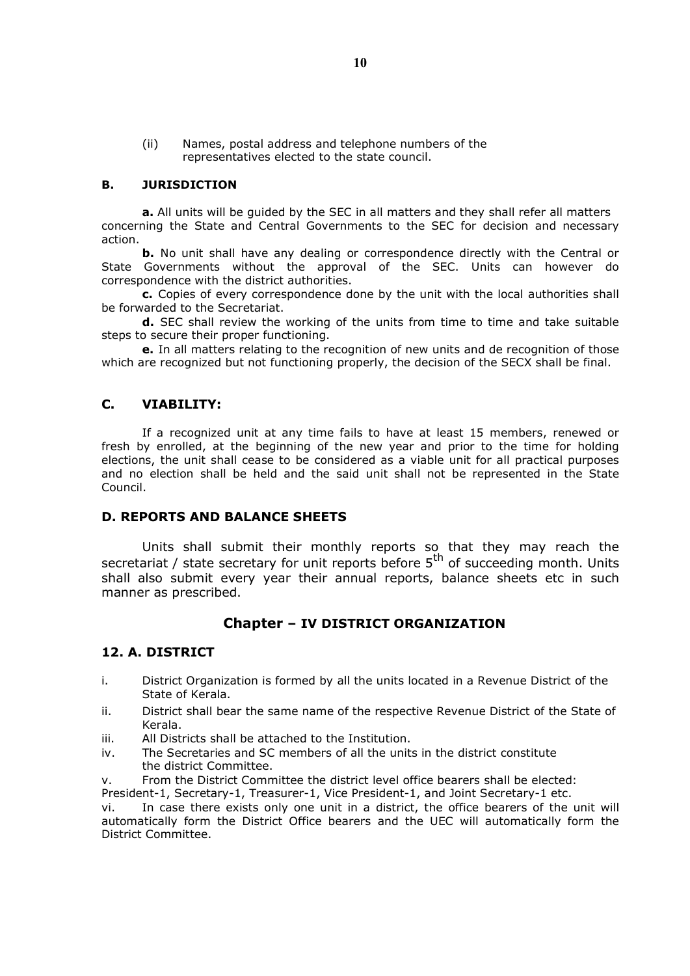(ii) Names, postal address and telephone numbers of the representatives elected to the state council.

### B. JURISDICTION

a. All units will be guided by the SEC in all matters and they shall refer all matters concerning the State and Central Governments to the SEC for decision and necessary action.

**b.** No unit shall have any dealing or correspondence directly with the Central or State Governments without the approval of the SEC. Units can however do correspondence with the district authorities.

c. Copies of every correspondence done by the unit with the local authorities shall be forwarded to the Secretariat.

d. SEC shall review the working of the units from time to time and take suitable steps to secure their proper functioning.

e. In all matters relating to the recognition of new units and de recognition of those which are recognized but not functioning properly, the decision of the SECX shall be final.

### C. VIABILITY:

If a recognized unit at any time fails to have at least 15 members, renewed or fresh by enrolled, at the beginning of the new year and prior to the time for holding elections, the unit shall cease to be considered as a viable unit for all practical purposes and no election shall be held and the said unit shall not be represented in the State Council.

### D. REPORTS AND BALANCE SHEETS

Units shall submit their monthly reports so that they may reach the secretariat / state secretary for unit reports before  $5<sup>th</sup>$  of succeeding month. Units shall also submit every year their annual reports, balance sheets etc in such manner as prescribed.

# Chapter – IV DISTRICT ORGANIZATION

### 12. A. DISTRICT

- i. District Organization is formed by all the units located in a Revenue District of the State of Kerala.
- ii. District shall bear the same name of the respective Revenue District of the State of Kerala.
- iii. All Districts shall be attached to the Institution.
- iv. The Secretaries and SC members of all the units in the district constitute the district Committee.
- v. From the District Committee the district level office bearers shall be elected:

President-1, Secretary-1, Treasurer-1, Vice President-1, and Joint Secretary-1 etc.

vi. In case there exists only one unit in a district, the office bearers of the unit will automatically form the District Office bearers and the UEC will automatically form the District Committee.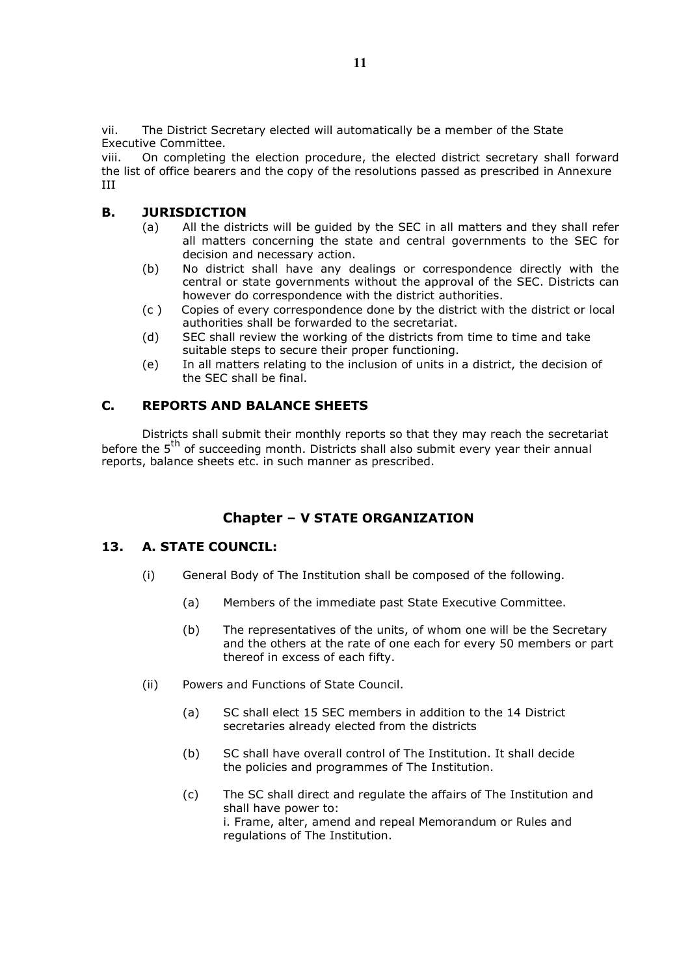vii. The District Secretary elected will automatically be a member of the State Executive Committee.

viii. On completing the election procedure, the elected district secretary shall forward the list of office bearers and the copy of the resolutions passed as prescribed in Annexure III

# B. JURISDICTION

- (a) All the districts will be guided by the SEC in all matters and they shall refer all matters concerning the state and central governments to the SEC for decision and necessary action.
- (b) No district shall have any dealings or correspondence directly with the central or state governments without the approval of the SEC. Districts can however do correspondence with the district authorities.
- (c ) Copies of every correspondence done by the district with the district or local authorities shall be forwarded to the secretariat.
- (d) SEC shall review the working of the districts from time to time and take suitable steps to secure their proper functioning.
- (e) In all matters relating to the inclusion of units in a district, the decision of the SEC shall be final.

# C. REPORTS AND BALANCE SHEETS

Districts shall submit their monthly reports so that they may reach the secretariat before the  $5<sup>th</sup>$  of succeeding month. Districts shall also submit every year their annual reports, balance sheets etc. in such manner as prescribed.

# Chapter – V STATE ORGANIZATION

# 13. A. STATE COUNCIL:

- (i) General Body of The Institution shall be composed of the following.
	- (a) Members of the immediate past State Executive Committee.
	- (b) The representatives of the units, of whom one will be the Secretary and the others at the rate of one each for every 50 members or part thereof in excess of each fifty.
- (ii) Powers and Functions of State Council.
	- (a) SC shall elect 15 SEC members in addition to the 14 District secretaries already elected from the districts
	- (b) SC shall have overall control of The Institution. It shall decide the policies and programmes of The Institution.
	- (c) The SC shall direct and regulate the affairs of The Institution and shall have power to: i. Frame, alter, amend and repeal Memorandum or Rules and regulations of The Institution.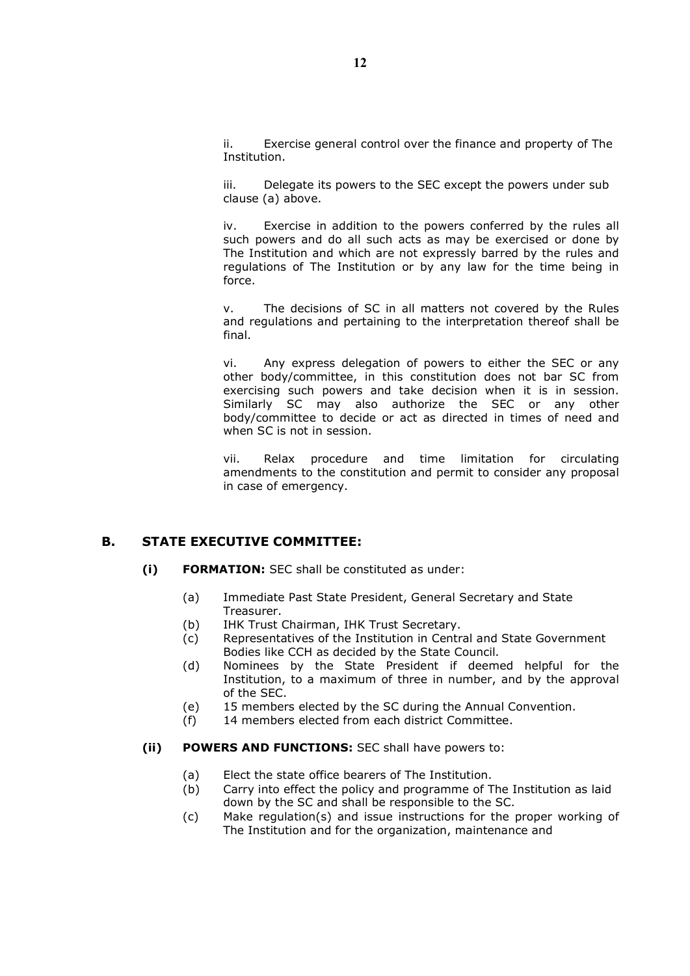ii. Exercise general control over the finance and property of The Institution.

iii. Delegate its powers to the SEC except the powers under sub clause (a) above.

iv. Exercise in addition to the powers conferred by the rules all such powers and do all such acts as may be exercised or done by The Institution and which are not expressly barred by the rules and regulations of The Institution or by any law for the time being in force.

v. The decisions of SC in all matters not covered by the Rules and regulations and pertaining to the interpretation thereof shall be final.

vi. Any express delegation of powers to either the SEC or any other body/committee, in this constitution does not bar SC from exercising such powers and take decision when it is in session. Similarly SC may also authorize the SEC or any other body/committee to decide or act as directed in times of need and when SC is not in session.

vii. Relax procedure and time limitation for circulating amendments to the constitution and permit to consider any proposal in case of emergency.

### B. STATE EXECUTIVE COMMITTEE:

- (i) FORMATION: SEC shall be constituted as under:
	- (a) Immediate Past State President, General Secretary and State Treasurer.
	- (b) IHK Trust Chairman, IHK Trust Secretary.
	- (c) Representatives of the Institution in Central and State Government Bodies like CCH as decided by the State Council.
	- (d) Nominees by the State President if deemed helpful for the Institution, to a maximum of three in number, and by the approval of the SEC.
	- (e) 15 members elected by the SC during the Annual Convention.
	- (f) 14 members elected from each district Committee.

#### (ii) POWERS AND FUNCTIONS: SEC shall have powers to:

- (a) Elect the state office bearers of The Institution.
- (b) Carry into effect the policy and programme of The Institution as laid down by the SC and shall be responsible to the SC.
- (c) Make regulation(s) and issue instructions for the proper working of The Institution and for the organization, maintenance and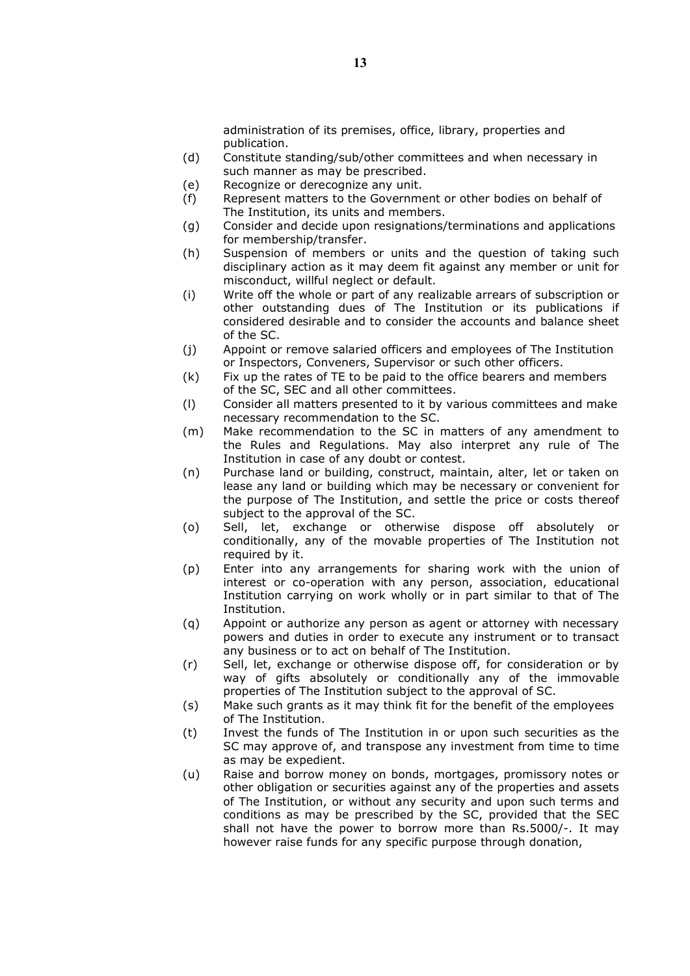administration of its premises, office, library, properties and publication.

- (d) Constitute standing/sub/other committees and when necessary in such manner as may be prescribed.
- (e) Recognize or derecognize any unit.
- (f) Represent matters to the Government or other bodies on behalf of The Institution, its units and members.
- (g) Consider and decide upon resignations/terminations and applications for membership/transfer.
- (h) Suspension of members or units and the question of taking such disciplinary action as it may deem fit against any member or unit for misconduct, willful neglect or default.
- (i) Write off the whole or part of any realizable arrears of subscription or other outstanding dues of The Institution or its publications if considered desirable and to consider the accounts and balance sheet of the SC.
- (j) Appoint or remove salaried officers and employees of The Institution or Inspectors, Conveners, Supervisor or such other officers.
- (k) Fix up the rates of TE to be paid to the office bearers and members of the SC, SEC and all other committees.
- (l) Consider all matters presented to it by various committees and make necessary recommendation to the SC.
- (m) Make recommendation to the SC in matters of any amendment to the Rules and Regulations. May also interpret any rule of The Institution in case of any doubt or contest.
- (n) Purchase land or building, construct, maintain, alter, let or taken on lease any land or building which may be necessary or convenient for the purpose of The Institution, and settle the price or costs thereof subject to the approval of the SC.
- (o) Sell, let, exchange or otherwise dispose off absolutely or conditionally, any of the movable properties of The Institution not required by it.
- (p) Enter into any arrangements for sharing work with the union of interest or co-operation with any person, association, educational Institution carrying on work wholly or in part similar to that of The Institution.
- (q) Appoint or authorize any person as agent or attorney with necessary powers and duties in order to execute any instrument or to transact any business or to act on behalf of The Institution.
- (r) Sell, let, exchange or otherwise dispose off, for consideration or by way of gifts absolutely or conditionally any of the immovable properties of The Institution subject to the approval of SC.
- (s) Make such grants as it may think fit for the benefit of the employees of The Institution.
- (t) Invest the funds of The Institution in or upon such securities as the SC may approve of, and transpose any investment from time to time as may be expedient.
- (u) Raise and borrow money on bonds, mortgages, promissory notes or other obligation or securities against any of the properties and assets of The Institution, or without any security and upon such terms and conditions as may be prescribed by the SC, provided that the SEC shall not have the power to borrow more than Rs.5000/-. It may however raise funds for any specific purpose through donation,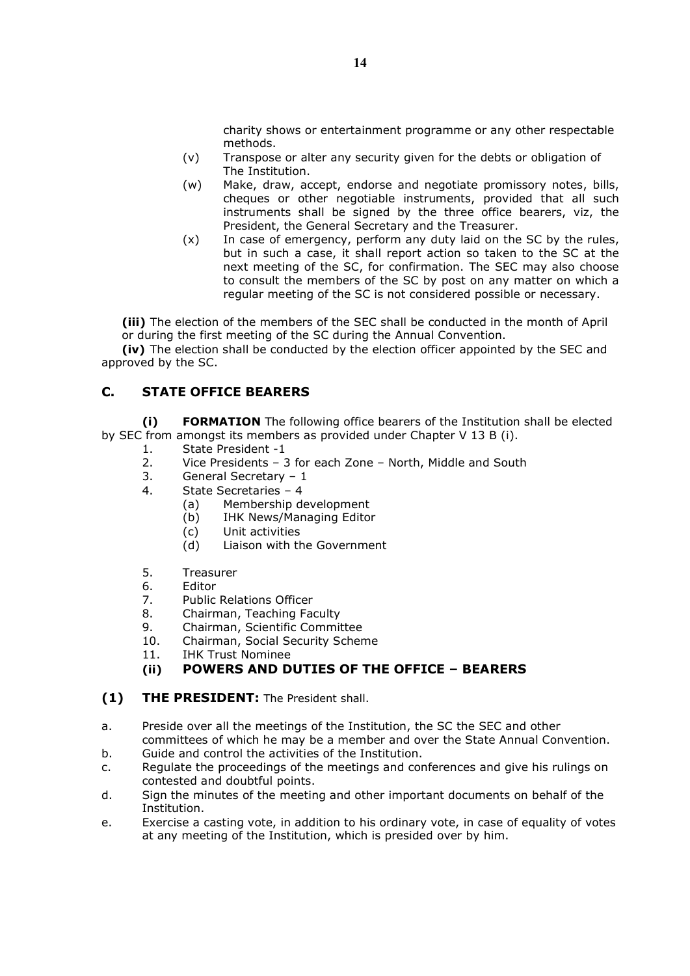charity shows or entertainment programme or any other respectable methods.

- (v) Transpose or alter any security given for the debts or obligation of The Institution.
- (w) Make, draw, accept, endorse and negotiate promissory notes, bills, cheques or other negotiable instruments, provided that all such instruments shall be signed by the three office bearers, viz, the President, the General Secretary and the Treasurer.
- (x) In case of emergency, perform any duty laid on the SC by the rules, but in such a case, it shall report action so taken to the SC at the next meeting of the SC, for confirmation. The SEC may also choose to consult the members of the SC by post on any matter on which a regular meeting of the SC is not considered possible or necessary.

(iii) The election of the members of the SEC shall be conducted in the month of April or during the first meeting of the SC during the Annual Convention.

(iv) The election shall be conducted by the election officer appointed by the SEC and approved by the SC.

# C. STATE OFFICE BEARERS

(i) FORMATION The following office bearers of the Institution shall be elected by SEC from amongst its members as provided under Chapter V 13 B (i).

- 1. State President -1
- 2. Vice Presidents 3 for each Zone North, Middle and South
- 3. General Secretary 1
- 4. State Secretaries 4
	- (a) Membership development
	- (b) IHK News/Managing Editor
	- (c) Unit activities
	- (d) Liaison with the Government
- 5. Treasurer
- 6. Editor
- 7. Public Relations Officer
- 8. Chairman, Teaching Faculty
- 9. Chairman, Scientific Committee
- 10. Chairman, Social Security Scheme
- 11. IHK Trust Nominee

# (ii) POWERS AND DUTIES OF THE OFFICE – BEARERS

- (1) THE PRESIDENT: The President shall.
- a. Preside over all the meetings of the Institution, the SC the SEC and other committees of which he may be a member and over the State Annual Convention.
- b. Guide and control the activities of the Institution.
- c. Regulate the proceedings of the meetings and conferences and give his rulings on contested and doubtful points.
- d. Sign the minutes of the meeting and other important documents on behalf of the Institution.
- e. Exercise a casting vote, in addition to his ordinary vote, in case of equality of votes at any meeting of the Institution, which is presided over by him.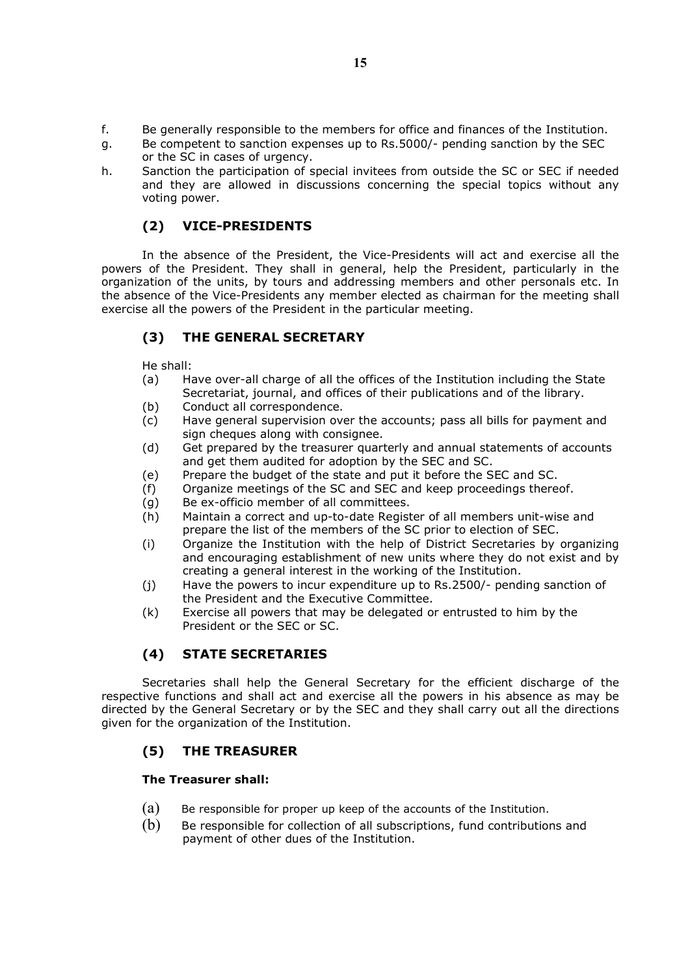- f. Be generally responsible to the members for office and finances of the Institution.
- g. Be competent to sanction expenses up to Rs.5000/- pending sanction by the SEC or the SC in cases of urgency.
- h. Sanction the participation of special invitees from outside the SC or SEC if needed and they are allowed in discussions concerning the special topics without any voting power.

# (2) VICE-PRESIDENTS

In the absence of the President, the Vice-Presidents will act and exercise all the powers of the President. They shall in general, help the President, particularly in the organization of the units, by tours and addressing members and other personals etc. In the absence of the Vice-Presidents any member elected as chairman for the meeting shall exercise all the powers of the President in the particular meeting.

# (3) THE GENERAL SECRETARY

He shall:

- (a) Have over-all charge of all the offices of the Institution including the State Secretariat, journal, and offices of their publications and of the library.
- (b) Conduct all correspondence.
- (c) Have general supervision over the accounts; pass all bills for payment and sign cheques along with consignee.
- (d) Get prepared by the treasurer quarterly and annual statements of accounts and get them audited for adoption by the SEC and SC.
- (e) Prepare the budget of the state and put it before the SEC and SC.
- (f) Organize meetings of the SC and SEC and keep proceedings thereof.
- (g) Be ex-officio member of all committees.
- (h) Maintain a correct and up-to-date Register of all members unit-wise and prepare the list of the members of the SC prior to election of SEC.
- (i) Organize the Institution with the help of District Secretaries by organizing and encouraging establishment of new units where they do not exist and by creating a general interest in the working of the Institution.
- (j) Have the powers to incur expenditure up to Rs.2500/- pending sanction of the President and the Executive Committee.
- (k) Exercise all powers that may be delegated or entrusted to him by the President or the SEC or SC.

# (4) STATE SECRETARIES

Secretaries shall help the General Secretary for the efficient discharge of the respective functions and shall act and exercise all the powers in his absence as may be directed by the General Secretary or by the SEC and they shall carry out all the directions given for the organization of the Institution.

# (5) THE TREASURER

### The Treasurer shall:

- $(a)$  Be responsible for proper up keep of the accounts of the Institution.
- (b) Be responsible for collection of all subscriptions, fund contributions and payment of other dues of the Institution.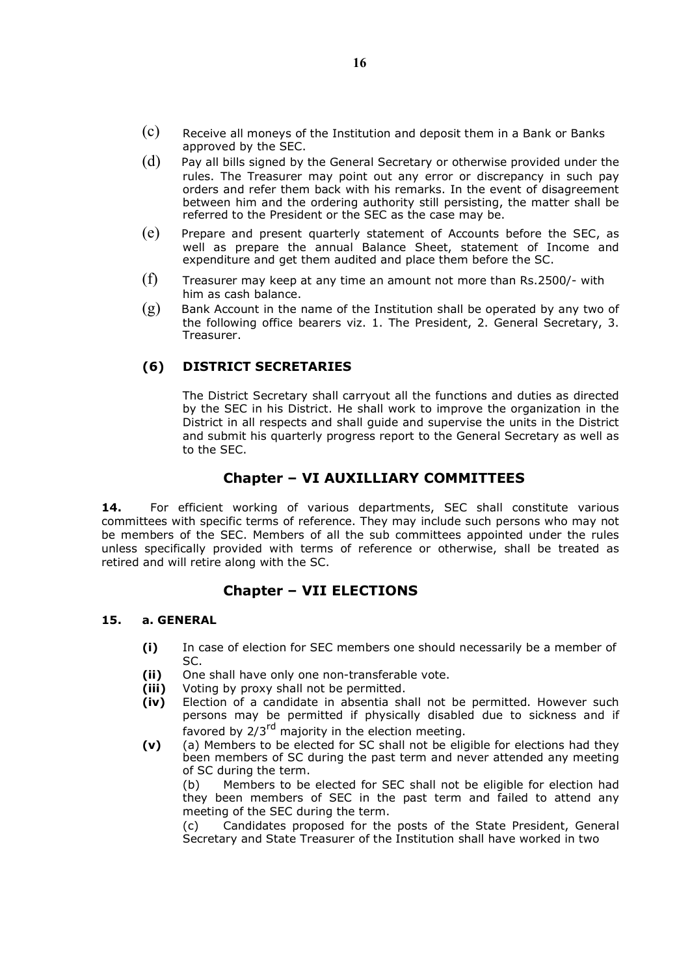- $(c)$  Receive all moneys of the Institution and deposit them in a Bank or Banks approved by the SEC.
- $(d)$  Pay all bills signed by the General Secretary or otherwise provided under the rules. The Treasurer may point out any error or discrepancy in such pay orders and refer them back with his remarks. In the event of disagreement between him and the ordering authority still persisting, the matter shall be referred to the President or the SEC as the case may be.
- (e) Prepare and present quarterly statement of Accounts before the SEC, as well as prepare the annual Balance Sheet, statement of Income and expenditure and get them audited and place them before the SC.
- $(f)$  Treasurer may keep at any time an amount not more than Rs.2500/- with him as cash balance.
- $(g)$  Bank Account in the name of the Institution shall be operated by any two of the following office bearers viz. 1. The President, 2. General Secretary, 3. Treasurer.

### (6) DISTRICT SECRETARIES

The District Secretary shall carryout all the functions and duties as directed by the SEC in his District. He shall work to improve the organization in the District in all respects and shall guide and supervise the units in the District and submit his quarterly progress report to the General Secretary as well as to the SEC.

# Chapter – VI AUXILLIARY COMMITTEES

14. For efficient working of various departments, SEC shall constitute various committees with specific terms of reference. They may include such persons who may not be members of the SEC. Members of all the sub committees appointed under the rules unless specifically provided with terms of reference or otherwise, shall be treated as retired and will retire along with the SC.

### Chapter – VII ELECTIONS

#### 15. a. GENERAL

- (i) In case of election for SEC members one should necessarily be a member of SC.
- (ii) One shall have only one non-transferable vote.
- (iii) Voting by proxy shall not be permitted.
- (iv) Election of a candidate in absentia shall not be permitted. However such persons may be permitted if physically disabled due to sickness and if favored by 2/3<sup>rd</sup> majority in the election meeting.
- (v) (a) Members to be elected for SC shall not be eligible for elections had they been members of SC during the past term and never attended any meeting of SC during the term.

(b) Members to be elected for SEC shall not be eligible for election had they been members of SEC in the past term and failed to attend any meeting of the SEC during the term.

(c) Candidates proposed for the posts of the State President, General Secretary and State Treasurer of the Institution shall have worked in two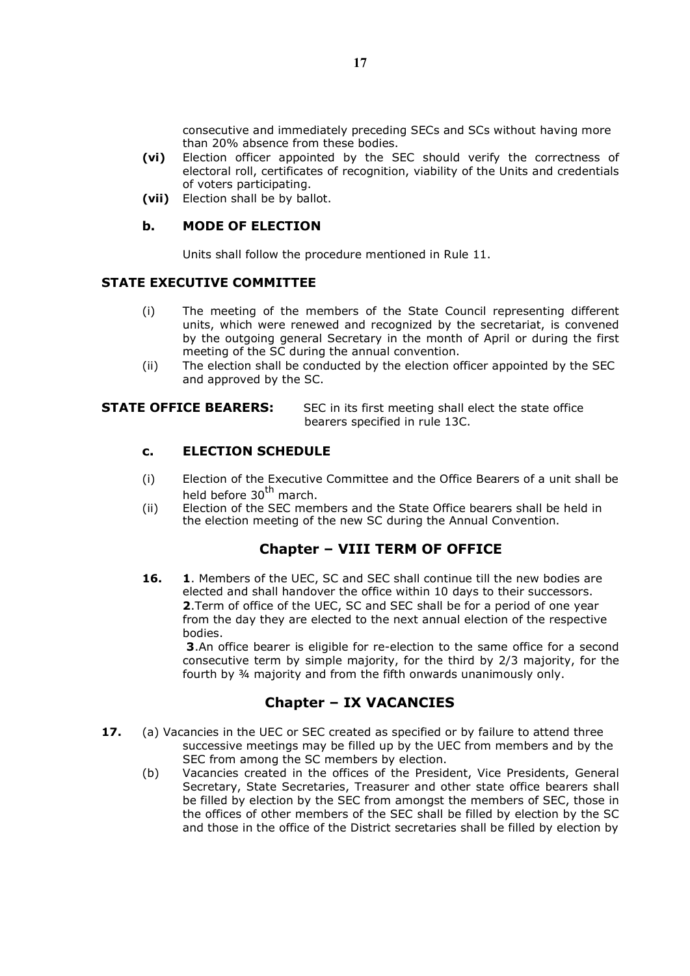consecutive and immediately preceding SECs and SCs without having more than 20% absence from these bodies.

- (vi) Election officer appointed by the SEC should verify the correctness of electoral roll, certificates of recognition, viability of the Units and credentials of voters participating.
- (vii) Election shall be by ballot.

### b. MODE OF ELECTION

Units shall follow the procedure mentioned in Rule 11.

### STATE EXECUTIVE COMMITTEE

- (i) The meeting of the members of the State Council representing different units, which were renewed and recognized by the secretariat, is convened by the outgoing general Secretary in the month of April or during the first meeting of the SC during the annual convention.
- (ii) The election shall be conducted by the election officer appointed by the SEC and approved by the SC.

**STATE OFFICE BEARERS:** SEC in its first meeting shall elect the state office bearers specified in rule 13C.

### c. ELECTION SCHEDULE

- (i) Election of the Executive Committee and the Office Bearers of a unit shall be held before 30<sup>th</sup> march.
- (ii) Election of the SEC members and the State Office bearers shall be held in the election meeting of the new SC during the Annual Convention.

# Chapter – VIII TERM OF OFFICE

16. 1. Members of the UEC, SC and SEC shall continue till the new bodies are elected and shall handover the office within 10 days to their successors. 2. Term of office of the UEC, SC and SEC shall be for a period of one year from the day they are elected to the next annual election of the respective bodies.

3.An office bearer is eligible for re-election to the same office for a second consecutive term by simple majority, for the third by 2/3 majority, for the fourth by ¾ majority and from the fifth onwards unanimously only.

# Chapter – IX VACANCIES

- 17. (a) Vacancies in the UEC or SEC created as specified or by failure to attend three successive meetings may be filled up by the UEC from members and by the SEC from among the SC members by election.
	- (b) Vacancies created in the offices of the President, Vice Presidents, General Secretary, State Secretaries, Treasurer and other state office bearers shall be filled by election by the SEC from amongst the members of SEC, those in the offices of other members of the SEC shall be filled by election by the SC and those in the office of the District secretaries shall be filled by election by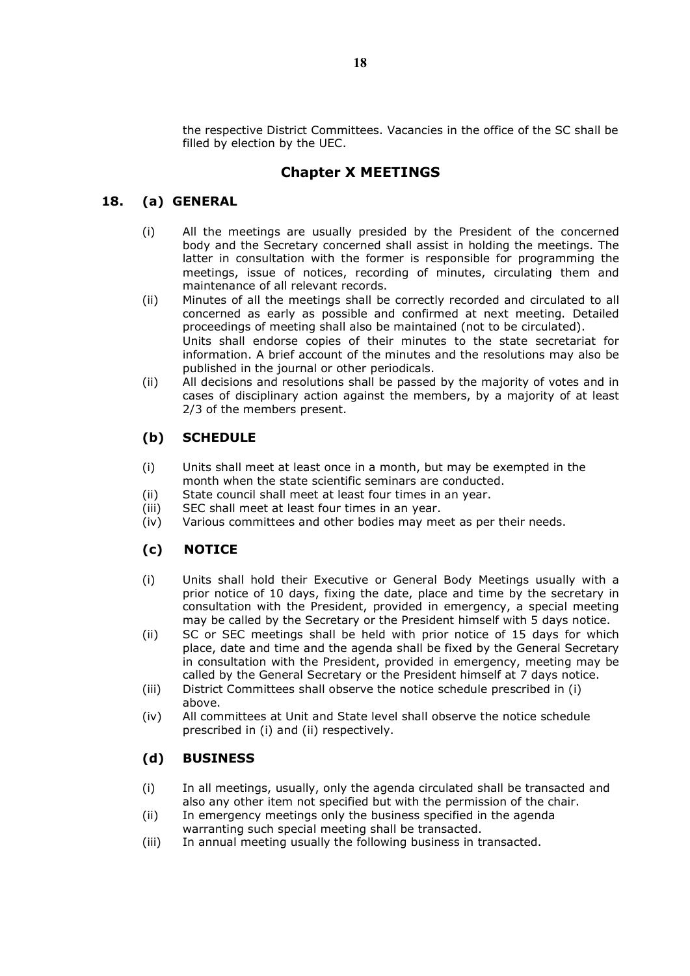the respective District Committees. Vacancies in the office of the SC shall be filled by election by the UEC.

# Chapter X MEETINGS

# 18. (a) GENERAL

- (i) All the meetings are usually presided by the President of the concerned body and the Secretary concerned shall assist in holding the meetings. The latter in consultation with the former is responsible for programming the meetings, issue of notices, recording of minutes, circulating them and maintenance of all relevant records.
- (ii) Minutes of all the meetings shall be correctly recorded and circulated to all concerned as early as possible and confirmed at next meeting. Detailed proceedings of meeting shall also be maintained (not to be circulated). Units shall endorse copies of their minutes to the state secretariat for information. A brief account of the minutes and the resolutions may also be published in the journal or other periodicals.
- (ii) All decisions and resolutions shall be passed by the majority of votes and in cases of disciplinary action against the members, by a majority of at least 2/3 of the members present.

# (b) SCHEDULE

- (i) Units shall meet at least once in a month, but may be exempted in the month when the state scientific seminars are conducted.
- (ii) State council shall meet at least four times in an year.
- (iii) SEC shall meet at least four times in an year.
- (iv) Various committees and other bodies may meet as per their needs.

# (c) NOTICE

- (i) Units shall hold their Executive or General Body Meetings usually with a prior notice of 10 days, fixing the date, place and time by the secretary in consultation with the President, provided in emergency, a special meeting may be called by the Secretary or the President himself with 5 days notice.
- (ii) SC or SEC meetings shall be held with prior notice of 15 days for which place, date and time and the agenda shall be fixed by the General Secretary in consultation with the President, provided in emergency, meeting may be called by the General Secretary or the President himself at 7 days notice.
- (iii) District Committees shall observe the notice schedule prescribed in (i) above.
- (iv) All committees at Unit and State level shall observe the notice schedule prescribed in (i) and (ii) respectively.

# (d) BUSINESS

- (i) In all meetings, usually, only the agenda circulated shall be transacted and also any other item not specified but with the permission of the chair.
- (ii) In emergency meetings only the business specified in the agenda warranting such special meeting shall be transacted.
- (iii) In annual meeting usually the following business in transacted.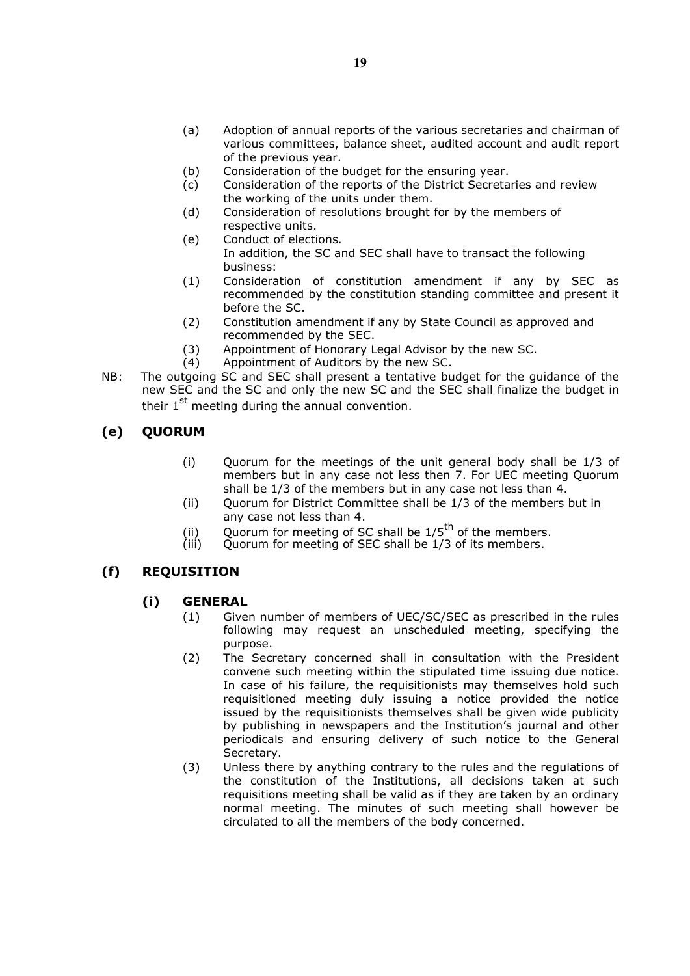- (a) Adoption of annual reports of the various secretaries and chairman of various committees, balance sheet, audited account and audit report of the previous year.
- (b) Consideration of the budget for the ensuring year.
- (c) Consideration of the reports of the District Secretaries and review the working of the units under them.
- (d) Consideration of resolutions brought for by the members of respective units.
- (e) Conduct of elections. In addition, the SC and SEC shall have to transact the following business:
- (1) Consideration of constitution amendment if any by SEC as recommended by the constitution standing committee and present it before the SC.
- (2) Constitution amendment if any by State Council as approved and recommended by the SEC.
- (3) Appointment of Honorary Legal Advisor by the new SC.
- (4) Appointment of Auditors by the new SC.
- NB: The outgoing SC and SEC shall present a tentative budget for the guidance of the new SEC and the SC and only the new SC and the SEC shall finalize the budget in their  $1^{st}$  meeting during the annual convention.

# (e) QUORUM

- (i) Quorum for the meetings of the unit general body shall be 1/3 of members but in any case not less then 7. For UEC meeting Quorum shall be 1/3 of the members but in any case not less than 4.
- (ii) Quorum for District Committee shall be 1/3 of the members but in any case not less than 4.
- (ii) Quorum for meeting of SC shall be  $1/5^{\text{th}}$  of the members.<br>(iii) Ouorum for meeting of SEC shall be 1/3 of its members.
- Quorum for meeting of SEC shall be  $1/3$  of its members.

# (f) REQUISITION

# (i) GENERAL

- (1) Given number of members of UEC/SC/SEC as prescribed in the rules following may request an unscheduled meeting, specifying the purpose.
- (2) The Secretary concerned shall in consultation with the President convene such meeting within the stipulated time issuing due notice. In case of his failure, the requisitionists may themselves hold such requisitioned meeting duly issuing a notice provided the notice issued by the requisitionists themselves shall be given wide publicity by publishing in newspapers and the Institution's journal and other periodicals and ensuring delivery of such notice to the General Secretary.
- (3) Unless there by anything contrary to the rules and the regulations of the constitution of the Institutions, all decisions taken at such requisitions meeting shall be valid as if they are taken by an ordinary normal meeting. The minutes of such meeting shall however be circulated to all the members of the body concerned.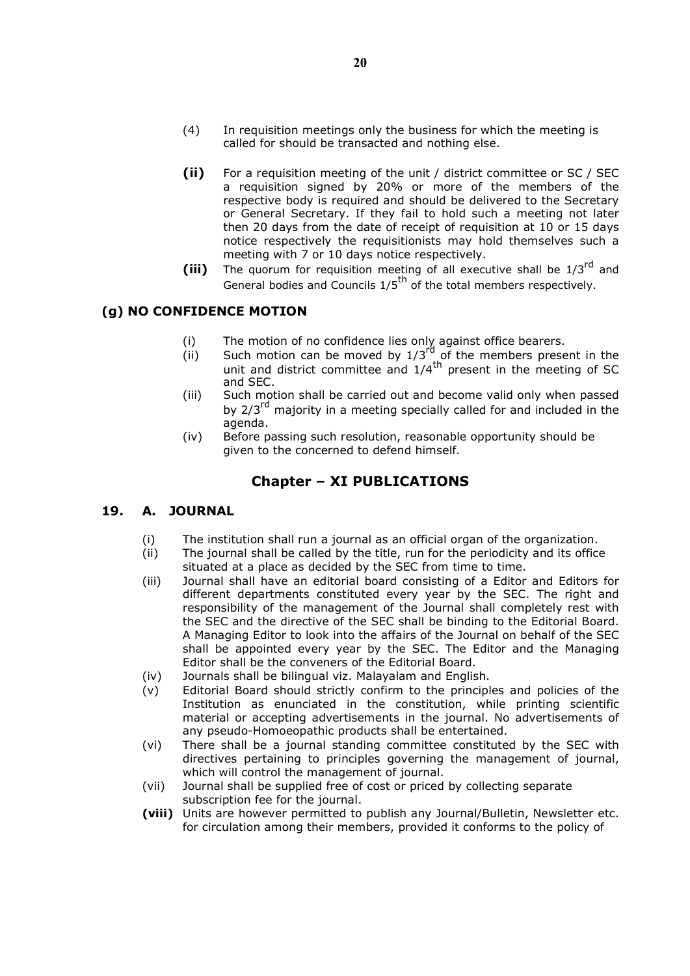- (4) In requisition meetings only the business for which the meeting is called for should be transacted and nothing else.
- (ii) For a requisition meeting of the unit / district committee or SC / SEC a requisition signed by 20% or more of the members of the respective body is required and should be delivered to the Secretary or General Secretary. If they fail to hold such a meeting not later then 20 days from the date of receipt of requisition at 10 or 15 days notice respectively the requisitionists may hold themselves such a meeting with 7 or 10 days notice respectively.
- (iii) The quorum for requisition meeting of all executive shall be  $1/3^{rd}$  and General bodies and Councils  $1/5^{th}$  of the total members respectively.

# (g) NO CONFIDENCE MOTION

- (i) The motion of no confidence lies only against office bearers.
- (ii) Such motion can be moved by  $1/3^{rd}$  of the members present in the unit and district committee and  $1/4^{\text{th}}$  present in the meeting of SC and SEC.
- (iii) Such motion shall be carried out and become valid only when passed by 2/3<sup>rd</sup> majority in a meeting specially called for and included in the agenda.
- (iv) Before passing such resolution, reasonable opportunity should be given to the concerned to defend himself.

# Chapter – XI PUBLICATIONS

### 19. A. JOURNAL

- (i) The institution shall run a journal as an official organ of the organization.
- (ii) The journal shall be called by the title, run for the periodicity and its office situated at a place as decided by the SEC from time to time.
- (iii) Journal shall have an editorial board consisting of a Editor and Editors for different departments constituted every year by the SEC. The right and responsibility of the management of the Journal shall completely rest with the SEC and the directive of the SEC shall be binding to the Editorial Board. A Managing Editor to look into the affairs of the Journal on behalf of the SEC shall be appointed every year by the SEC. The Editor and the Managing Editor shall be the conveners of the Editorial Board.
- (iv) Journals shall be bilingual viz. Malayalam and English.
- (v) Editorial Board should strictly confirm to the principles and policies of the Institution as enunciated in the constitution, while printing scientific material or accepting advertisements in the journal. No advertisements of any pseudo-Homoeopathic products shall be entertained.
- (vi) There shall be a journal standing committee constituted by the SEC with directives pertaining to principles governing the management of journal, which will control the management of journal.
- (vii) Journal shall be supplied free of cost or priced by collecting separate subscription fee for the journal.
- (viii) Units are however permitted to publish any Journal/Bulletin, Newsletter etc. for circulation among their members, provided it conforms to the policy of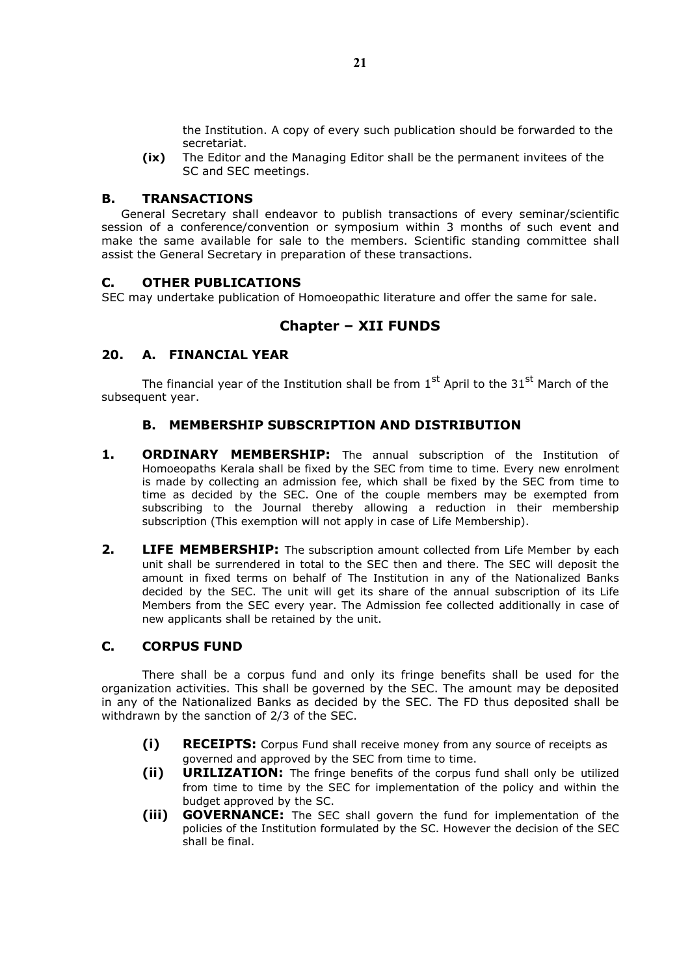the Institution. A copy of every such publication should be forwarded to the secretariat.

(ix) The Editor and the Managing Editor shall be the permanent invitees of the SC and SEC meetings.

### B. TRANSACTIONS

General Secretary shall endeavor to publish transactions of every seminar/scientific session of a conference/convention or symposium within 3 months of such event and make the same available for sale to the members. Scientific standing committee shall assist the General Secretary in preparation of these transactions.

### C. OTHER PUBLICATIONS

SEC may undertake publication of Homoeopathic literature and offer the same for sale.

# Chapter – XII FUNDS

### 20. A. FINANCIAL YEAR

The financial year of the Institution shall be from  $1<sup>st</sup>$  April to the  $31<sup>st</sup>$  March of the subsequent year.

# B. MEMBERSHIP SUBSCRIPTION AND DISTRIBUTION

- 1. **ORDINARY MEMBERSHIP:** The annual subscription of the Institution of Homoeopaths Kerala shall be fixed by the SEC from time to time. Every new enrolment is made by collecting an admission fee, which shall be fixed by the SEC from time to time as decided by the SEC. One of the couple members may be exempted from subscribing to the Journal thereby allowing a reduction in their membership subscription (This exemption will not apply in case of Life Membership).
- **2. LIFE MEMBERSHIP:** The subscription amount collected from Life Member by each unit shall be surrendered in total to the SEC then and there. The SEC will deposit the amount in fixed terms on behalf of The Institution in any of the Nationalized Banks decided by the SEC. The unit will get its share of the annual subscription of its Life Members from the SEC every year. The Admission fee collected additionally in case of new applicants shall be retained by the unit.

### C. CORPUS FUND

There shall be a corpus fund and only its fringe benefits shall be used for the organization activities. This shall be governed by the SEC. The amount may be deposited in any of the Nationalized Banks as decided by the SEC. The FD thus deposited shall be withdrawn by the sanction of 2/3 of the SEC.

- (i) RECEIPTS: Corpus Fund shall receive money from any source of receipts as governed and approved by the SEC from time to time.
- **(ii) URILIZATION:** The fringe benefits of the corpus fund shall only be utilized from time to time by the SEC for implementation of the policy and within the budget approved by the SC.
- (iii) GOVERNANCE: The SEC shall govern the fund for implementation of the policies of the Institution formulated by the SC. However the decision of the SEC shall be final.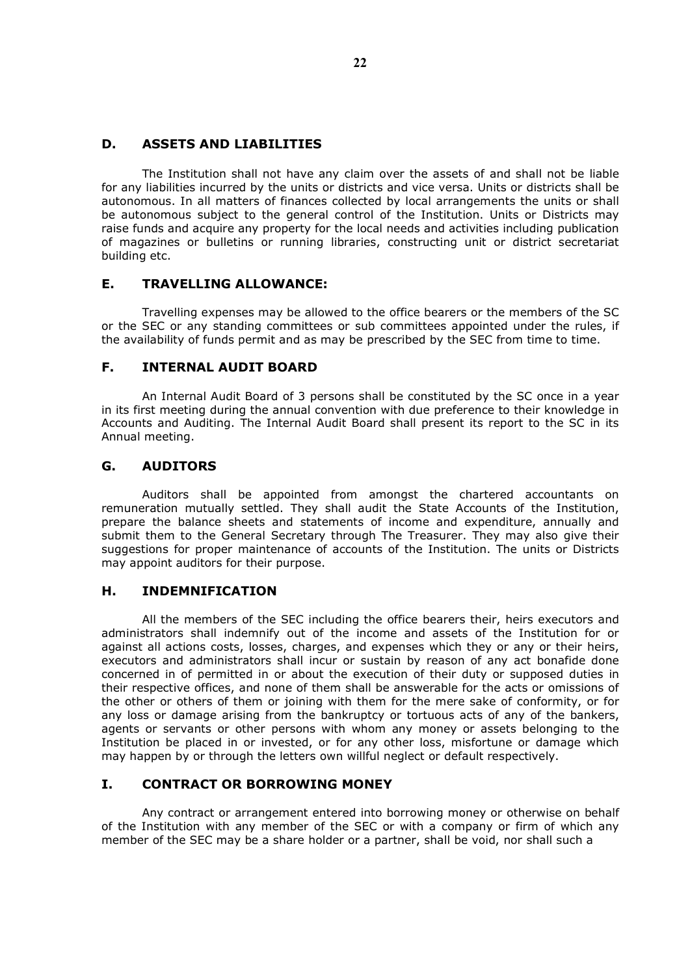### D. ASSETS AND LIABILITIES

The Institution shall not have any claim over the assets of and shall not be liable for any liabilities incurred by the units or districts and vice versa. Units or districts shall be autonomous. In all matters of finances collected by local arrangements the units or shall be autonomous subject to the general control of the Institution. Units or Districts may raise funds and acquire any property for the local needs and activities including publication of magazines or bulletins or running libraries, constructing unit or district secretariat building etc.

### E. TRAVELLING ALLOWANCE:

Travelling expenses may be allowed to the office bearers or the members of the SC or the SEC or any standing committees or sub committees appointed under the rules, if the availability of funds permit and as may be prescribed by the SEC from time to time.

### F. INTERNAL AUDIT BOARD

An Internal Audit Board of 3 persons shall be constituted by the SC once in a year in its first meeting during the annual convention with due preference to their knowledge in Accounts and Auditing. The Internal Audit Board shall present its report to the SC in its Annual meeting.

### G. AUDITORS

Auditors shall be appointed from amongst the chartered accountants on remuneration mutually settled. They shall audit the State Accounts of the Institution, prepare the balance sheets and statements of income and expenditure, annually and submit them to the General Secretary through The Treasurer. They may also give their suggestions for proper maintenance of accounts of the Institution. The units or Districts may appoint auditors for their purpose.

# H. INDEMNIFICATION

All the members of the SEC including the office bearers their, heirs executors and administrators shall indemnify out of the income and assets of the Institution for or against all actions costs, losses, charges, and expenses which they or any or their heirs, executors and administrators shall incur or sustain by reason of any act bonafide done concerned in of permitted in or about the execution of their duty or supposed duties in their respective offices, and none of them shall be answerable for the acts or omissions of the other or others of them or joining with them for the mere sake of conformity, or for any loss or damage arising from the bankruptcy or tortuous acts of any of the bankers, agents or servants or other persons with whom any money or assets belonging to the Institution be placed in or invested, or for any other loss, misfortune or damage which may happen by or through the letters own willful neglect or default respectively.

### I. CONTRACT OR BORROWING MONEY

Any contract or arrangement entered into borrowing money or otherwise on behalf of the Institution with any member of the SEC or with a company or firm of which any member of the SEC may be a share holder or a partner, shall be void, nor shall such a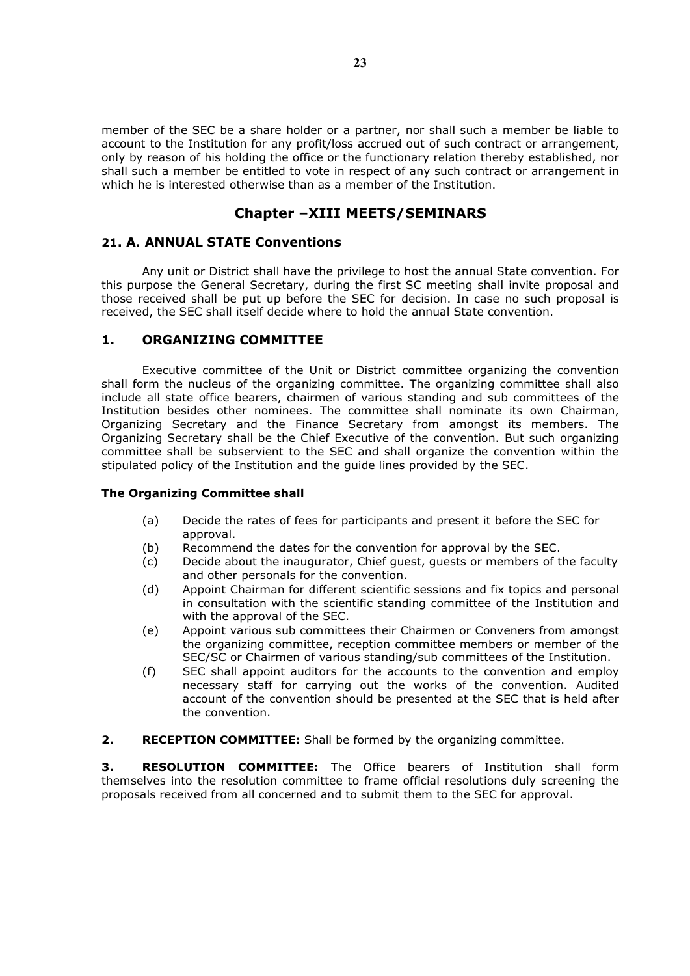member of the SEC be a share holder or a partner, nor shall such a member be liable to account to the Institution for any profit/loss accrued out of such contract or arrangement, only by reason of his holding the office or the functionary relation thereby established, nor shall such a member be entitled to vote in respect of any such contract or arrangement in which he is interested otherwise than as a member of the Institution.

# Chapter –XIII MEETS/SEMINARS

# 21. A. ANNUAL STATE Conventions

Any unit or District shall have the privilege to host the annual State convention. For this purpose the General Secretary, during the first SC meeting shall invite proposal and those received shall be put up before the SEC for decision. In case no such proposal is received, the SEC shall itself decide where to hold the annual State convention.

### 1. ORGANIZING COMMITTEE

Executive committee of the Unit or District committee organizing the convention shall form the nucleus of the organizing committee. The organizing committee shall also include all state office bearers, chairmen of various standing and sub committees of the Institution besides other nominees. The committee shall nominate its own Chairman, Organizing Secretary and the Finance Secretary from amongst its members. The Organizing Secretary shall be the Chief Executive of the convention. But such organizing committee shall be subservient to the SEC and shall organize the convention within the stipulated policy of the Institution and the guide lines provided by the SEC.

### The Organizing Committee shall

- (a) Decide the rates of fees for participants and present it before the SEC for approval.
- (b) Recommend the dates for the convention for approval by the SEC.
- (c) Decide about the inaugurator, Chief guest, guests or members of the faculty and other personals for the convention.
- (d) Appoint Chairman for different scientific sessions and fix topics and personal in consultation with the scientific standing committee of the Institution and with the approval of the SEC.
- (e) Appoint various sub committees their Chairmen or Conveners from amongst the organizing committee, reception committee members or member of the SEC/SC or Chairmen of various standing/sub committees of the Institution.
- (f) SEC shall appoint auditors for the accounts to the convention and employ necessary staff for carrying out the works of the convention. Audited account of the convention should be presented at the SEC that is held after the convention.
- 2. RECEPTION COMMITTEE: Shall be formed by the organizing committee.

**3. RESOLUTION COMMITTEE:** The Office bearers of Institution shall form themselves into the resolution committee to frame official resolutions duly screening the proposals received from all concerned and to submit them to the SEC for approval.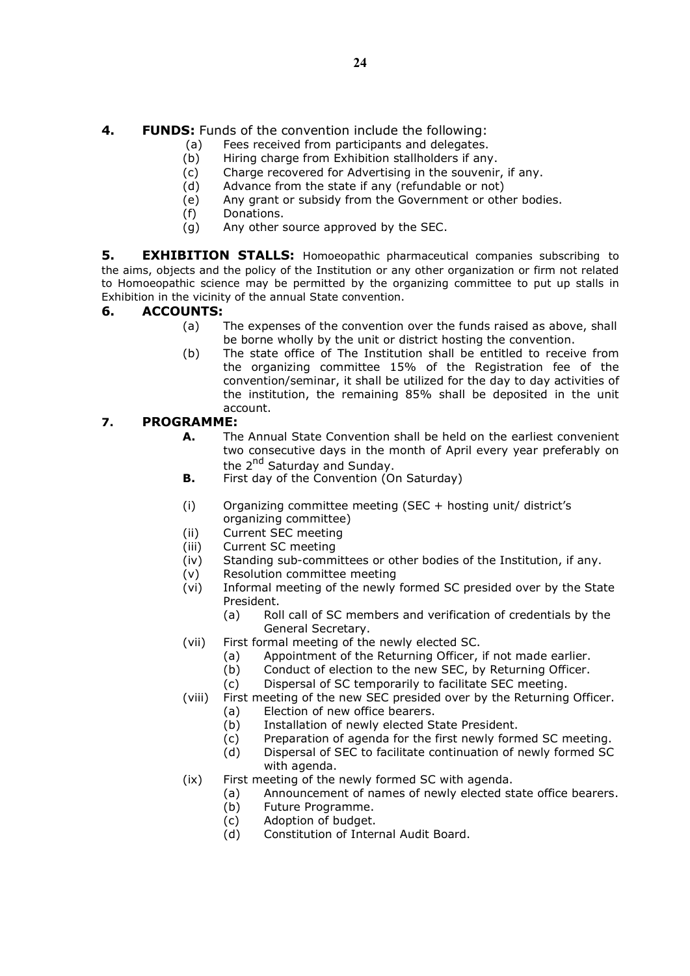- (a) Fees received from participants and delegates.
- (b) Hiring charge from Exhibition stallholders if any.
- (c) Charge recovered for Advertising in the souvenir, if any.<br>(d) Advance from the state if any (refundable or not)
- Advance from the state if any (refundable or not)
- (e) Any grant or subsidy from the Government or other bodies.
- (f) Donations.
- (g) Any other source approved by the SEC.

**5. EXHIBITION STALLS:** Homoeopathic pharmaceutical companies subscribing to the aims, objects and the policy of the Institution or any other organization or firm not related to Homoeopathic science may be permitted by the organizing committee to put up stalls in Exhibition in the vicinity of the annual State convention.

# 6. ACCOUNTS:

- (a) The expenses of the convention over the funds raised as above, shall be borne wholly by the unit or district hosting the convention.
- (b) The state office of The Institution shall be entitled to receive from the organizing committee 15% of the Registration fee of the convention/seminar, it shall be utilized for the day to day activities of the institution, the remaining 85% shall be deposited in the unit account.

# 7. PROGRAMME:

- A. The Annual State Convention shall be held on the earliest convenient two consecutive days in the month of April every year preferably on the 2<sup>nd</sup> Saturday and Sunday.
- **B.** First day of the Convention  $(On$  Saturday)
- (i) Organizing committee meeting (SEC + hosting unit/ district's organizing committee)
- (ii) Current SEC meeting
- (iii) Current SC meeting
- (iv) Standing sub-committees or other bodies of the Institution, if any.
- (v) Resolution committee meeting
- (vi) Informal meeting of the newly formed SC presided over by the State President.
	- (a) Roll call of SC members and verification of credentials by the General Secretary.
- (vii) First formal meeting of the newly elected SC.
	- (a) Appointment of the Returning Officer, if not made earlier.
	- (b) Conduct of election to the new SEC, by Returning Officer.
		- (c) Dispersal of SC temporarily to facilitate SEC meeting.
- (viii) First meeting of the new SEC presided over by the Returning Officer.
	- (a) Election of new office bearers.
	- (b) Installation of newly elected State President.
	- (c) Preparation of agenda for the first newly formed SC meeting.
	- (d) Dispersal of SEC to facilitate continuation of newly formed SC with agenda.
- (ix) First meeting of the newly formed SC with agenda.
	- (a) Announcement of names of newly elected state office bearers.
	- (b) Future Programme.
	- (c) Adoption of budget.
	- (d) Constitution of Internal Audit Board.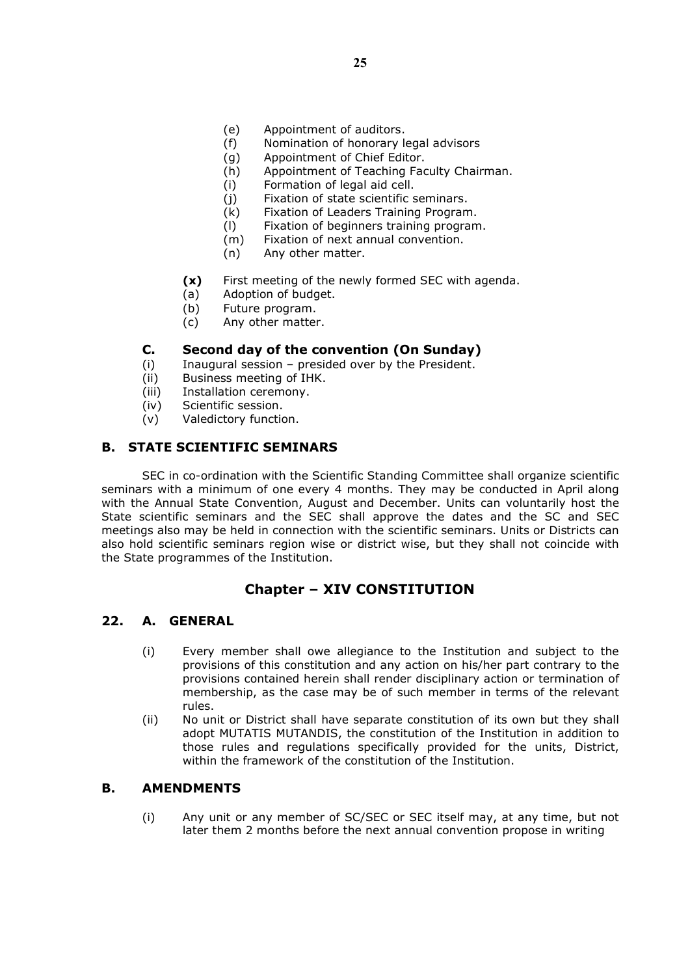- (e) Appointment of auditors.
- (f) Nomination of honorary legal advisors
- (g) Appointment of Chief Editor.
- (h) Appointment of Teaching Faculty Chairman.
- (i) Formation of legal aid cell.
- (j) Fixation of state scientific seminars.
- (k) Fixation of Leaders Training Program.
- (l) Fixation of beginners training program.
- (m) Fixation of next annual convention.
- (n) Any other matter.
- (x) First meeting of the newly formed SEC with agenda.
- (a) Adoption of budget.
- (b) Future program.
- (c) Any other matter.

# C. Second day of the convention (On Sunday)

- (i) Inaugural session presided over by the President.
- (ii) Business meeting of IHK.
- (iii) Installation ceremony.
- (iv) Scientific session.
- (v) Valedictory function.

# B. STATE SCIENTIFIC SEMINARS

SEC in co-ordination with the Scientific Standing Committee shall organize scientific seminars with a minimum of one every 4 months. They may be conducted in April along with the Annual State Convention, August and December. Units can voluntarily host the State scientific seminars and the SEC shall approve the dates and the SC and SEC meetings also may be held in connection with the scientific seminars. Units or Districts can also hold scientific seminars region wise or district wise, but they shall not coincide with the State programmes of the Institution.

# Chapter – XIV CONSTITUTION

# 22. A. GENERAL

- (i) Every member shall owe allegiance to the Institution and subject to the provisions of this constitution and any action on his/her part contrary to the provisions contained herein shall render disciplinary action or termination of membership, as the case may be of such member in terms of the relevant rules.
- (ii) No unit or District shall have separate constitution of its own but they shall adopt MUTATIS MUTANDIS, the constitution of the Institution in addition to those rules and regulations specifically provided for the units, District, within the framework of the constitution of the Institution.

# B. AMENDMENTS

(i) Any unit or any member of SC/SEC or SEC itself may, at any time, but not later them 2 months before the next annual convention propose in writing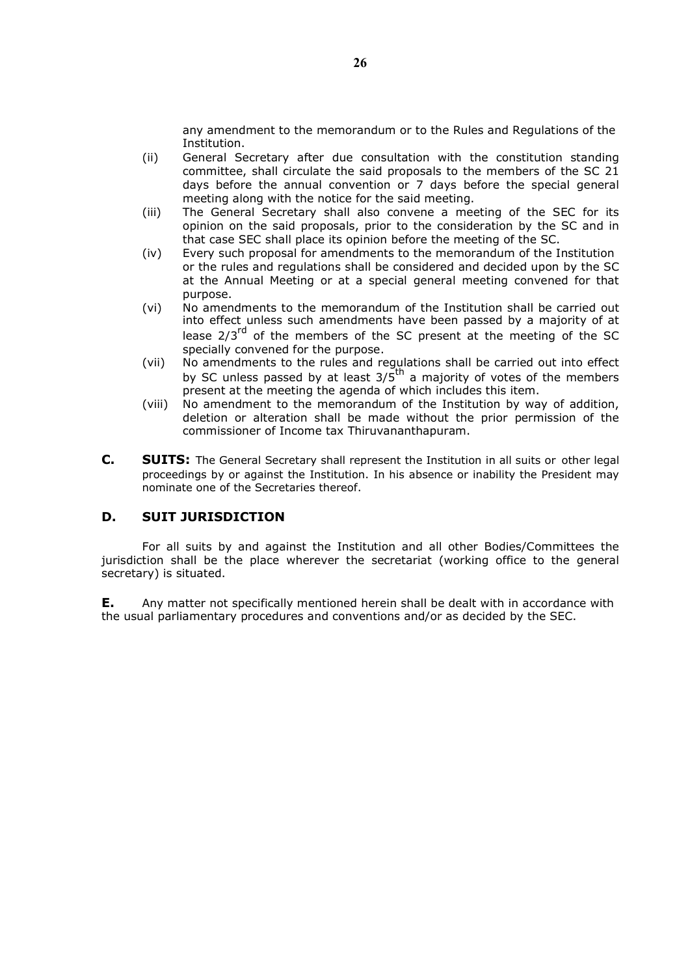any amendment to the memorandum or to the Rules and Regulations of the Institution.

- (ii) General Secretary after due consultation with the constitution standing committee, shall circulate the said proposals to the members of the SC 21 days before the annual convention or 7 days before the special general meeting along with the notice for the said meeting.
- (iii) The General Secretary shall also convene a meeting of the SEC for its opinion on the said proposals, prior to the consideration by the SC and in that case SEC shall place its opinion before the meeting of the SC.
- (iv) Every such proposal for amendments to the memorandum of the Institution or the rules and regulations shall be considered and decided upon by the SC at the Annual Meeting or at a special general meeting convened for that purpose.
- (vi) No amendments to the memorandum of the Institution shall be carried out into effect unless such amendments have been passed by a majority of at lease  $2/3^{rd}$  of the members of the SC present at the meeting of the SC specially convened for the purpose.
- (vii) No amendments to the rules and regulations shall be carried out into effect by SC unless passed by at least  $3/5$ <sup>th</sup> a majority of votes of the members present at the meeting the agenda of which includes this item.
- (viii) No amendment to the memorandum of the Institution by way of addition, deletion or alteration shall be made without the prior permission of the commissioner of Income tax Thiruvananthapuram.
- C. SUITS: The General Secretary shall represent the Institution in all suits or other legal proceedings by or against the Institution. In his absence or inability the President may nominate one of the Secretaries thereof.

# D. SUIT JURISDICTION

For all suits by and against the Institution and all other Bodies/Committees the jurisdiction shall be the place wherever the secretariat (working office to the general secretary) is situated.

E. Any matter not specifically mentioned herein shall be dealt with in accordance with the usual parliamentary procedures and conventions and/or as decided by the SEC.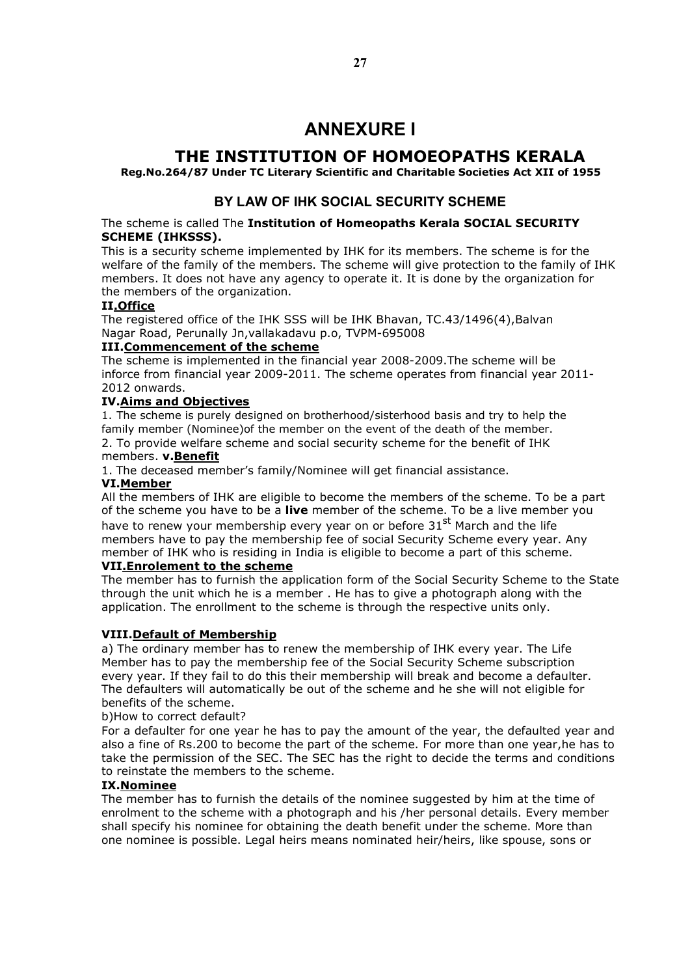# ANNEXURE I

# THE INSTITUTION OF HOMOEOPATHS KERALA

### Reg.No.264/87 Under TC Literary Scientific and Charitable Societies Act XII of 1955

# BY LAW OF IHK SOCIAL SECURITY SCHEME

#### The scheme is called The Institution of Homeopaths Kerala SOCIAL SECURITY SCHEME (IHKSSS).

This is a security scheme implemented by IHK for its members. The scheme is for the welfare of the family of the members. The scheme will give protection to the family of IHK members. It does not have any agency to operate it. It is done by the organization for the members of the organization.

### II.Office

The registered office of the IHK SSS will be IHK Bhavan, TC.43/1496(4),Balvan Nagar Road, Perunally Jn,vallakadavu p.o, TVPM-695008

### III.Commencement of the scheme

The scheme is implemented in the financial year 2008-2009.The scheme will be inforce from financial year 2009-2011. The scheme operates from financial year 2011- 2012 onwards.

### IV.Aims and Objectives

1. The scheme is purely designed on brotherhood/sisterhood basis and try to help the family member (Nominee)of the member on the event of the death of the member. 2. To provide welfare scheme and social security scheme for the benefit of IHK

#### members. v.Benefit

1. The deceased member's family/Nominee will get financial assistance.

#### VI.Member

All the members of IHK are eligible to become the members of the scheme. To be a part of the scheme you have to be a live member of the scheme. To be a live member you have to renew your membership every year on or before  $31<sup>st</sup>$  March and the life members have to pay the membership fee of social Security Scheme every year. Any member of IHK who is residing in India is eligible to become a part of this scheme.

### VII.Enrolement to the scheme

The member has to furnish the application form of the Social Security Scheme to the State through the unit which he is a member . He has to give a photograph along with the application. The enrollment to the scheme is through the respective units only.

### VIII.Default of Membership

a) The ordinary member has to renew the membership of IHK every year. The Life Member has to pay the membership fee of the Social Security Scheme subscription every year. If they fail to do this their membership will break and become a defaulter. The defaulters will automatically be out of the scheme and he she will not eligible for benefits of the scheme.

b)How to correct default?

For a defaulter for one year he has to pay the amount of the year, the defaulted year and also a fine of Rs.200 to become the part of the scheme. For more than one year,he has to take the permission of the SEC. The SEC has the right to decide the terms and conditions to reinstate the members to the scheme.

### IX.Nominee

The member has to furnish the details of the nominee suggested by him at the time of enrolment to the scheme with a photograph and his /her personal details. Every member shall specify his nominee for obtaining the death benefit under the scheme. More than one nominee is possible. Legal heirs means nominated heir/heirs, like spouse, sons or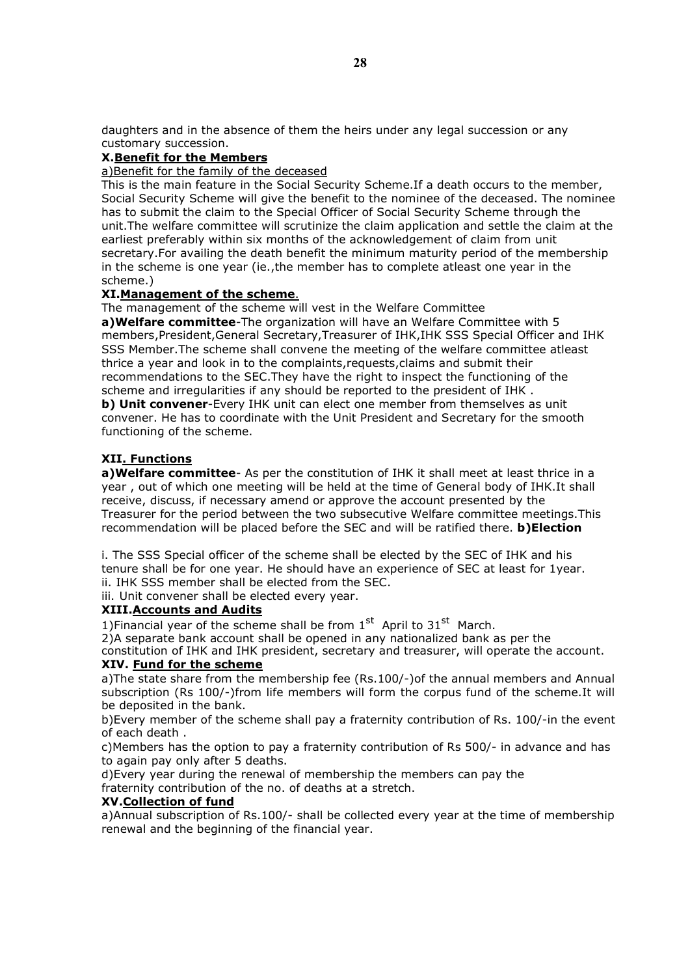daughters and in the absence of them the heirs under any legal succession or any customary succession.

#### X.Benefit for the Members

#### a)Benefit for the family of the deceased

This is the main feature in the Social Security Scheme.If a death occurs to the member, Social Security Scheme will give the benefit to the nominee of the deceased. The nominee has to submit the claim to the Special Officer of Social Security Scheme through the unit.The welfare committee will scrutinize the claim application and settle the claim at the earliest preferably within six months of the acknowledgement of claim from unit secretary.For availing the death benefit the minimum maturity period of the membership in the scheme is one year (ie.,the member has to complete atleast one year in the scheme.)

### XI.Management of the scheme.

The management of the scheme will vest in the Welfare Committee

a) Welfare committee-The organization will have an Welfare Committee with 5 members,President,General Secretary,Treasurer of IHK,IHK SSS Special Officer and IHK SSS Member.The scheme shall convene the meeting of the welfare committee atleast thrice a year and look in to the complaints,requests,claims and submit their recommendations to the SEC.They have the right to inspect the functioning of the scheme and irregularities if any should be reported to the president of IHK .

b) Unit convener-Every IHK unit can elect one member from themselves as unit convener. He has to coordinate with the Unit President and Secretary for the smooth functioning of the scheme.

#### XII. Functions

a) Welfare committee- As per the constitution of IHK it shall meet at least thrice in a year , out of which one meeting will be held at the time of General body of IHK.It shall receive, discuss, if necessary amend or approve the account presented by the Treasurer for the period between the two subsecutive Welfare committee meetings.This recommendation will be placed before the SEC and will be ratified there. **b)Election** 

i. The SSS Special officer of the scheme shall be elected by the SEC of IHK and his tenure shall be for one year. He should have an experience of SEC at least for 1year. ii. IHK SSS member shall be elected from the SEC.

iii. Unit convener shall be elected every year.

### XIII.Accounts and Audits

1)Financial year of the scheme shall be from  $1<sup>st</sup>$  April to  $31<sup>st</sup>$  March.

2)A separate bank account shall be opened in any nationalized bank as per the

constitution of IHK and IHK president, secretary and treasurer, will operate the account.

### XIV. Fund for the scheme

a)The state share from the membership fee (Rs.100/-)of the annual members and Annual subscription (Rs 100/-)from life members will form the corpus fund of the scheme.It will be deposited in the bank.

b)Every member of the scheme shall pay a fraternity contribution of Rs. 100/-in the event of each death .

c)Members has the option to pay a fraternity contribution of Rs 500/- in advance and has to again pay only after 5 deaths.

d)Every year during the renewal of membership the members can pay the fraternity contribution of the no. of deaths at a stretch.

#### XV.Collection of fund

a)Annual subscription of Rs.100/- shall be collected every year at the time of membership renewal and the beginning of the financial year.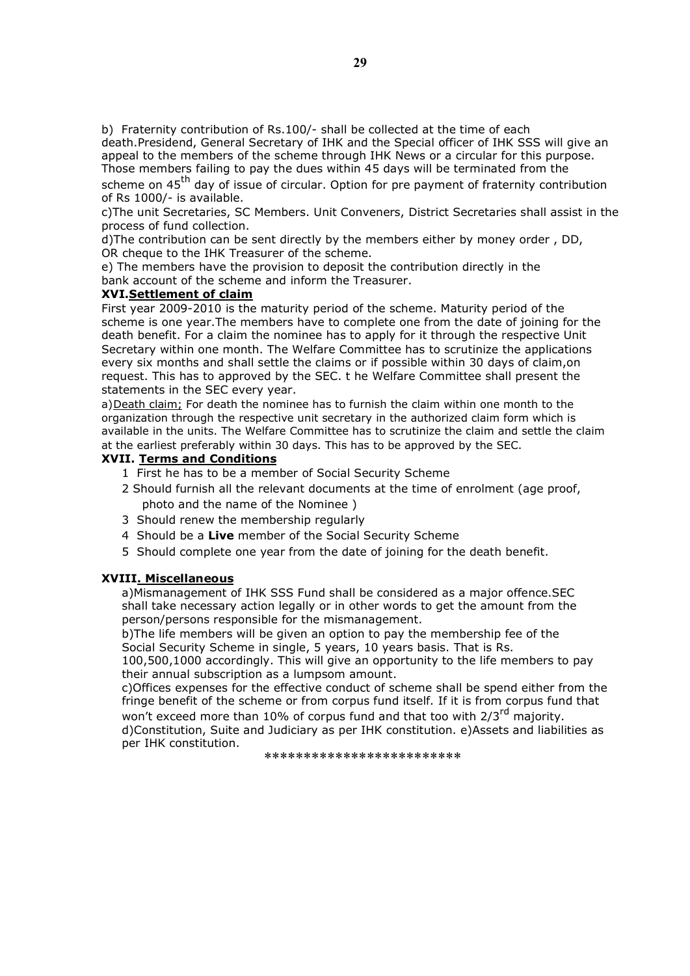b) Fraternity contribution of Rs.100/- shall be collected at the time of each death.Presidend, General Secretary of IHK and the Special officer of IHK SSS will give an appeal to the members of the scheme through IHK News or a circular for this purpose. Those members failing to pay the dues within 45 days will be terminated from the

scheme on  $45<sup>th</sup>$  day of issue of circular. Option for pre payment of fraternity contribution of Rs 1000/- is available.

c)The unit Secretaries, SC Members. Unit Conveners, District Secretaries shall assist in the process of fund collection.

d)The contribution can be sent directly by the members either by money order , DD, OR cheque to the IHK Treasurer of the scheme.

e) The members have the provision to deposit the contribution directly in the bank account of the scheme and inform the Treasurer.

#### XVI.Settlement of claim

First year 2009-2010 is the maturity period of the scheme. Maturity period of the scheme is one year.The members have to complete one from the date of joining for the death benefit. For a claim the nominee has to apply for it through the respective Unit Secretary within one month. The Welfare Committee has to scrutinize the applications every six months and shall settle the claims or if possible within 30 days of claim,on request. This has to approved by the SEC. t he Welfare Committee shall present the statements in the SEC every year.

a)Death claim; For death the nominee has to furnish the claim within one month to the organization through the respective unit secretary in the authorized claim form which is available in the units. The Welfare Committee has to scrutinize the claim and settle the claim at the earliest preferably within 30 days. This has to be approved by the SEC.

#### XVII. Terms and Conditions

- 1 First he has to be a member of Social Security Scheme
- 2 Should furnish all the relevant documents at the time of enrolment (age proof, photo and the name of the Nominee )
- 3 Should renew the membership regularly
- 4 Should be a Live member of the Social Security Scheme
- 5 Should complete one year from the date of joining for the death benefit.

### XVIII. Miscellaneous

a)Mismanagement of IHK SSS Fund shall be considered as a major offence.SEC shall take necessary action legally or in other words to get the amount from the person/persons responsible for the mismanagement.

b)The life members will be given an option to pay the membership fee of the Social Security Scheme in single, 5 years, 10 years basis. That is Rs.

100,500,1000 accordingly. This will give an opportunity to the life members to pay their annual subscription as a lumpsom amount.

c)Offices expenses for the effective conduct of scheme shall be spend either from the fringe benefit of the scheme or from corpus fund itself. If it is from corpus fund that won't exceed more than 10% of corpus fund and that too with 2/3<sup>rd</sup> majority. d)Constitution, Suite and Judiciary as per IHK constitution. e)Assets and liabilities as

per IHK constitution.

\*\*\*\*\*\*\*\*\*\*\*\*\*\*\*\*\*\*\*\*\*\*\*\*\*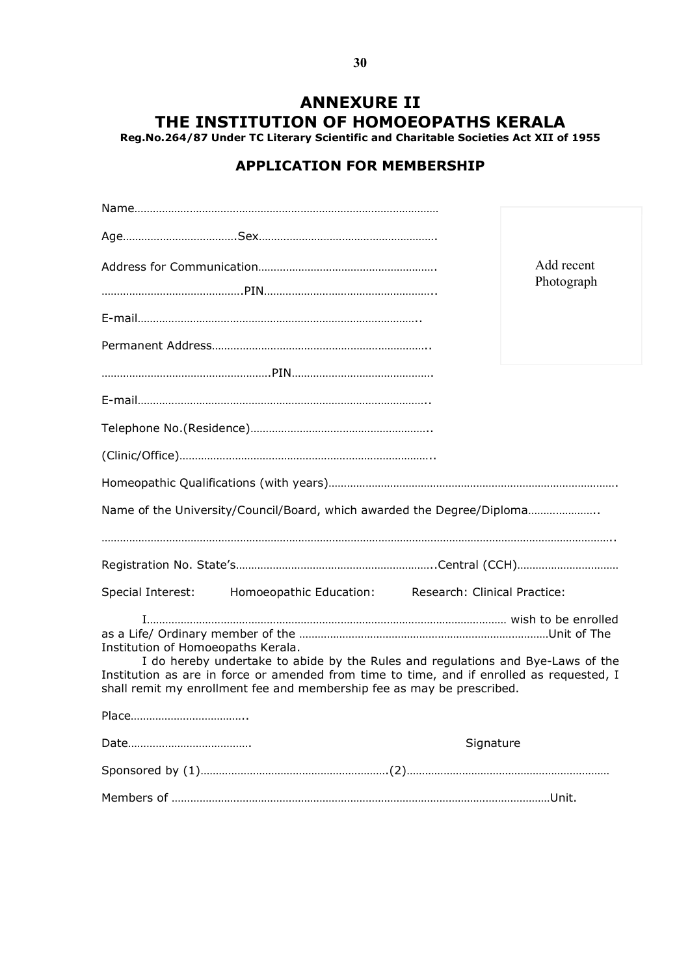# ANNEXURE II THE INSTITUTION OF HOMOEOPATHS KERALA

Reg.No.264/87 Under TC Literary Scientific and Charitable Societies Act XII of 1955

# APPLICATION FOR MEMBERSHIP

|                                                                                                                                                                                                                                                                                              | Add recent<br>Photograph |
|----------------------------------------------------------------------------------------------------------------------------------------------------------------------------------------------------------------------------------------------------------------------------------------------|--------------------------|
|                                                                                                                                                                                                                                                                                              |                          |
|                                                                                                                                                                                                                                                                                              |                          |
|                                                                                                                                                                                                                                                                                              |                          |
|                                                                                                                                                                                                                                                                                              |                          |
|                                                                                                                                                                                                                                                                                              |                          |
|                                                                                                                                                                                                                                                                                              |                          |
|                                                                                                                                                                                                                                                                                              |                          |
|                                                                                                                                                                                                                                                                                              |                          |
| Name of the University/Council/Board, which awarded the Degree/Diploma                                                                                                                                                                                                                       |                          |
|                                                                                                                                                                                                                                                                                              |                          |
| Special Interest:<br>Homoeopathic Education: Research: Clinical Practice:                                                                                                                                                                                                                    |                          |
| Institution of Homoeopaths Kerala.<br>I do hereby undertake to abide by the Rules and regulations and Bye-Laws of the<br>Institution as are in force or amended from time to time, and if enrolled as requested, I<br>shall remit my enrollment fee and membership fee as may be prescribed. |                          |
|                                                                                                                                                                                                                                                                                              |                          |
|                                                                                                                                                                                                                                                                                              | Signature                |
|                                                                                                                                                                                                                                                                                              |                          |
|                                                                                                                                                                                                                                                                                              |                          |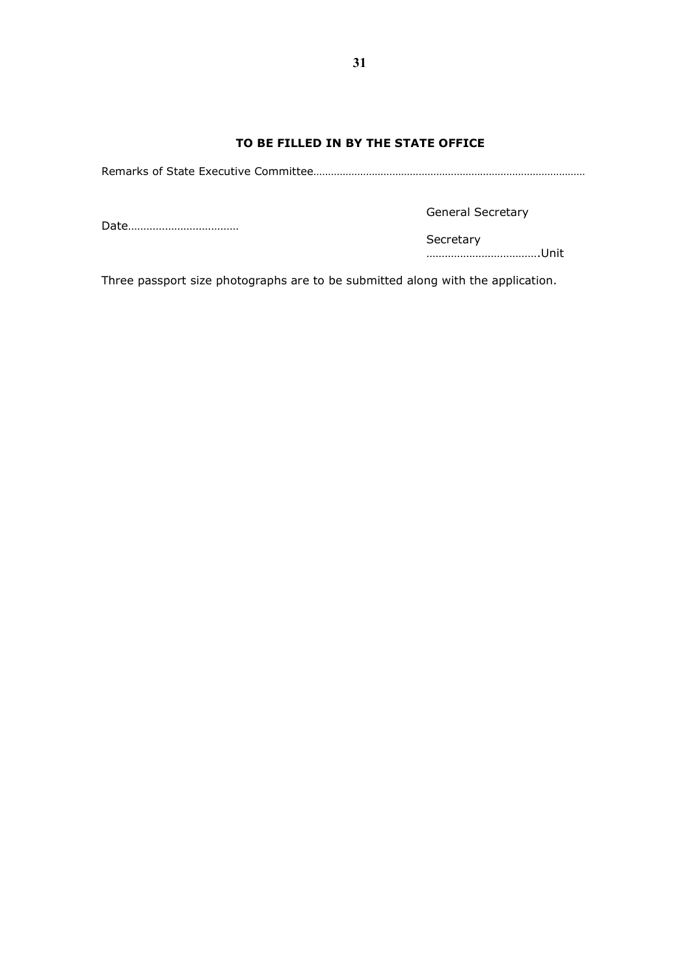### TO BE FILLED IN BY THE STATE OFFICE

Remarks of State Executive Committee…………………………………………………………………………………

Date………………………………

General Secretary

Secretary

……………………………….Unit

Three passport size photographs are to be submitted along with the application.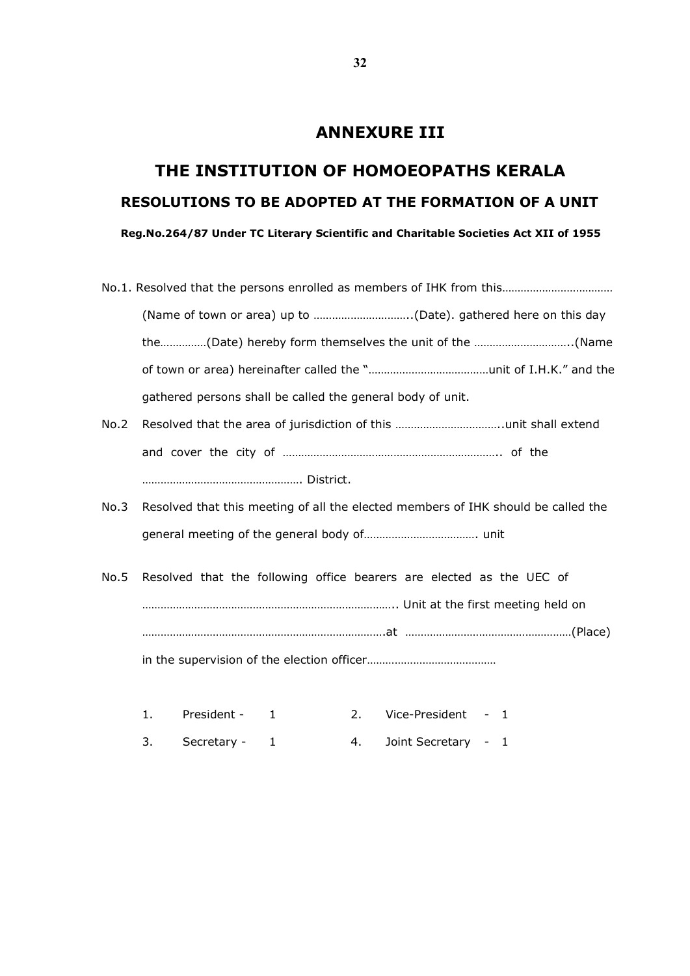# ANNEXURE III

# THE INSTITUTION OF HOMOEOPATHS KERALA RESOLUTIONS TO BE ADOPTED AT THE FORMATION OF A UNIT Reg.No.264/87 Under TC Literary Scientific and Charitable Societies Act XII of 1955

|      | the(Date) hereby form themselves the unit of the (Name                            |
|------|-----------------------------------------------------------------------------------|
|      |                                                                                   |
|      | gathered persons shall be called the general body of unit.                        |
| No.2 |                                                                                   |
|      |                                                                                   |
|      |                                                                                   |
| No.3 | Resolved that this meeting of all the elected members of IHK should be called the |
|      |                                                                                   |
| No.5 | Resolved that the following office bearers are elected as the UEC of              |
|      |                                                                                   |
|      |                                                                                   |
|      |                                                                                   |
|      |                                                                                   |
|      |                                                                                   |

- 1. President 1 2. Vice-President 1
- 3. Secretary 1 4. Joint Secretary 1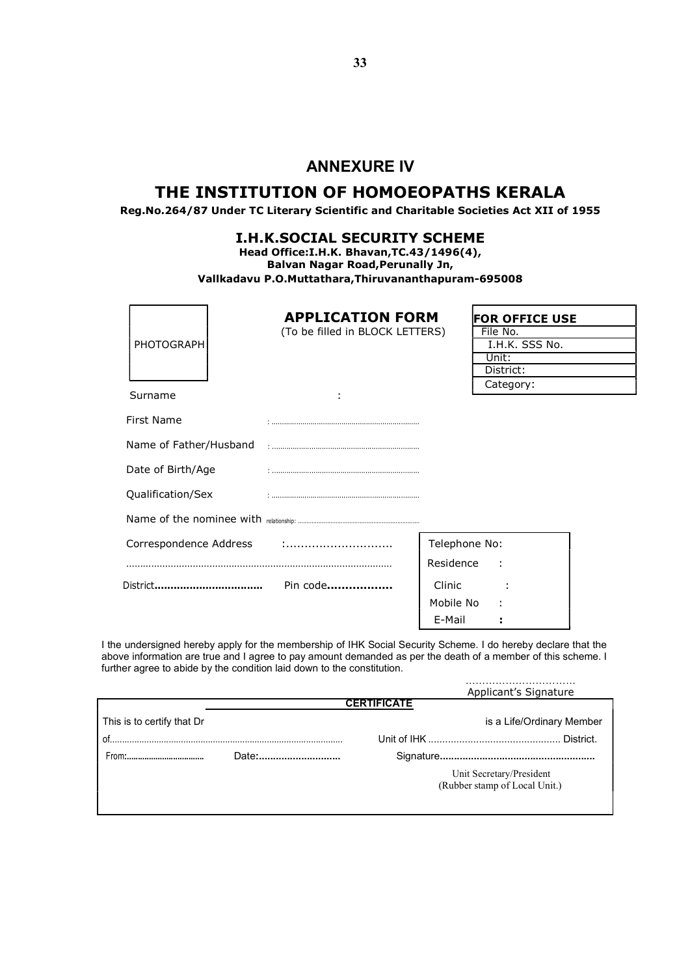# ANNEXURE IV

# THE INSTITUTION OF HOMOEOPATHS KERALA

Reg.No.264/87 Under TC Literary Scientific and Charitable Societies Act XII of 1955

### I.H.K.SOCIAL SECURITY SCHEME

Head Office:I.H.K. Bhavan,TC.43/1496(4), Balvan Nagar Road,Perunally Jn, Vallkadavu P.O.Muttathara,Thiruvananthapuram-695008

| PHOTOGRAPH             | <b>APPLICATION FORM</b><br>(To be filled in BLOCK LETTERS) |               | <b>FOR OFFICE USE</b><br>File No.<br>I.H.K. SSS No.<br>Unit: |  |  |  |  |
|------------------------|------------------------------------------------------------|---------------|--------------------------------------------------------------|--|--|--|--|
| Surname                |                                                            |               | District:<br>Category:                                       |  |  |  |  |
| First Name             |                                                            |               |                                                              |  |  |  |  |
| Name of Father/Husband |                                                            |               |                                                              |  |  |  |  |
| Date of Birth/Age      |                                                            |               |                                                              |  |  |  |  |
| Qualification/Sex      |                                                            |               |                                                              |  |  |  |  |
|                        |                                                            |               |                                                              |  |  |  |  |
| Correspondence Address |                                                            | Telephone No: |                                                              |  |  |  |  |
|                        |                                                            | Residence     | ÷                                                            |  |  |  |  |
| District               | Pin code                                                   | Clinic        |                                                              |  |  |  |  |
|                        |                                                            | Mobile No     |                                                              |  |  |  |  |
|                        |                                                            | E-Mail        |                                                              |  |  |  |  |

I the undersigned hereby apply for the membership of IHK Social Security Scheme. I do hereby declare that the above information are true and I agree to pay amount demanded as per the death of a member of this scheme. I further agree to abide by the condition laid down to the constitution.

……………………………

|                            |                    |  | Applicant's Signature         |  |  |  |  |  |  |  |  |  |  |
|----------------------------|--------------------|--|-------------------------------|--|--|--|--|--|--|--|--|--|--|
|                            | <b>CERTIFICATE</b> |  |                               |  |  |  |  |  |  |  |  |  |  |
| This is to certify that Dr |                    |  | is a Life/Ordinary Member     |  |  |  |  |  |  |  |  |  |  |
| $^{\circ}$ of              |                    |  |                               |  |  |  |  |  |  |  |  |  |  |
| From:                      | Date:              |  |                               |  |  |  |  |  |  |  |  |  |  |
|                            |                    |  | Unit Secretary/President      |  |  |  |  |  |  |  |  |  |  |
|                            |                    |  | (Rubber stamp of Local Unit.) |  |  |  |  |  |  |  |  |  |  |
|                            |                    |  |                               |  |  |  |  |  |  |  |  |  |  |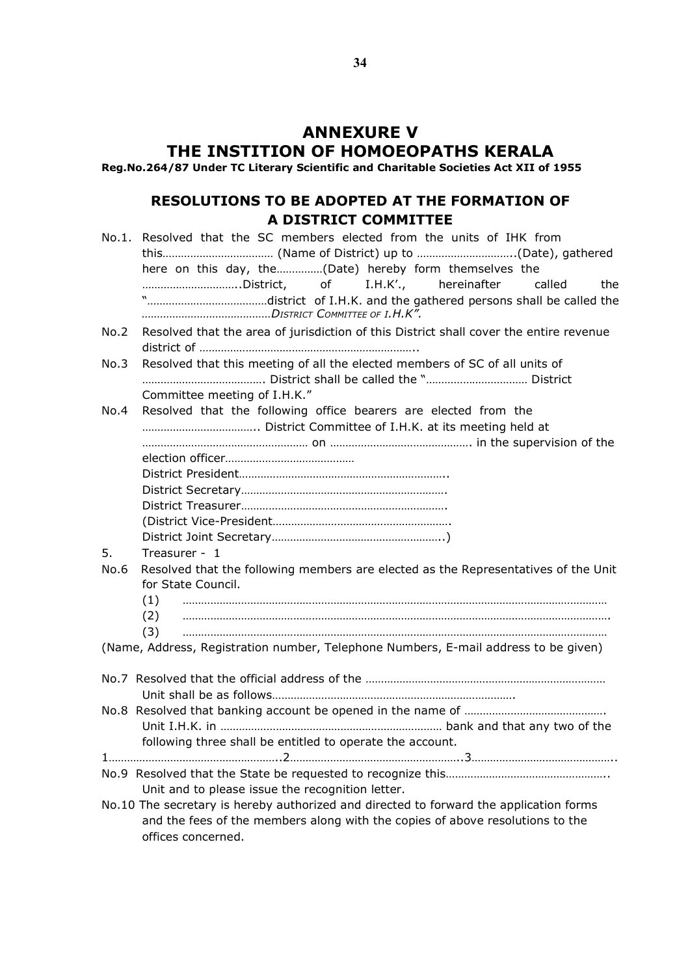# ANNEXURE V THE INSTITION OF HOMOEOPATHS KERALA

Reg.No.264/87 Under TC Literary Scientific and Charitable Societies Act XII of 1955

# RESOLUTIONS TO BE ADOPTED AT THE FORMATION OF A DISTRICT COMMITTEE

|      | No.1. Resolved that the SC members elected from the units of IHK from                                                                                                                         |
|------|-----------------------------------------------------------------------------------------------------------------------------------------------------------------------------------------------|
|      | here on this day, the(Date) hereby form themselves the<br>District, of<br>I.H.K'., hereinafter<br>called<br>the                                                                               |
| No.2 | Resolved that the area of jurisdiction of this District shall cover the entire revenue                                                                                                        |
| No.3 | Resolved that this meeting of all the elected members of SC of all units of                                                                                                                   |
|      | Committee meeting of I.H.K."                                                                                                                                                                  |
| No.4 | Resolved that the following office bearers are elected from the                                                                                                                               |
|      |                                                                                                                                                                                               |
|      |                                                                                                                                                                                               |
|      |                                                                                                                                                                                               |
|      |                                                                                                                                                                                               |
|      |                                                                                                                                                                                               |
| 5.   | Treasurer - 1                                                                                                                                                                                 |
| No.6 | Resolved that the following members are elected as the Representatives of the Unit                                                                                                            |
|      | for State Council.                                                                                                                                                                            |
|      | (1)                                                                                                                                                                                           |
|      | (2)                                                                                                                                                                                           |
|      | (3)                                                                                                                                                                                           |
|      | (Name, Address, Registration number, Telephone Numbers, E-mail address to be given)                                                                                                           |
|      |                                                                                                                                                                                               |
|      |                                                                                                                                                                                               |
|      |                                                                                                                                                                                               |
|      |                                                                                                                                                                                               |
|      | following three shall be entitled to operate the account.                                                                                                                                     |
|      |                                                                                                                                                                                               |
|      | Unit and to please issue the recognition letter.                                                                                                                                              |
|      | No.10 The secretary is hereby authorized and directed to forward the application forms<br>and the fees of the members along with the copies of above resolutions to the<br>offices concerned. |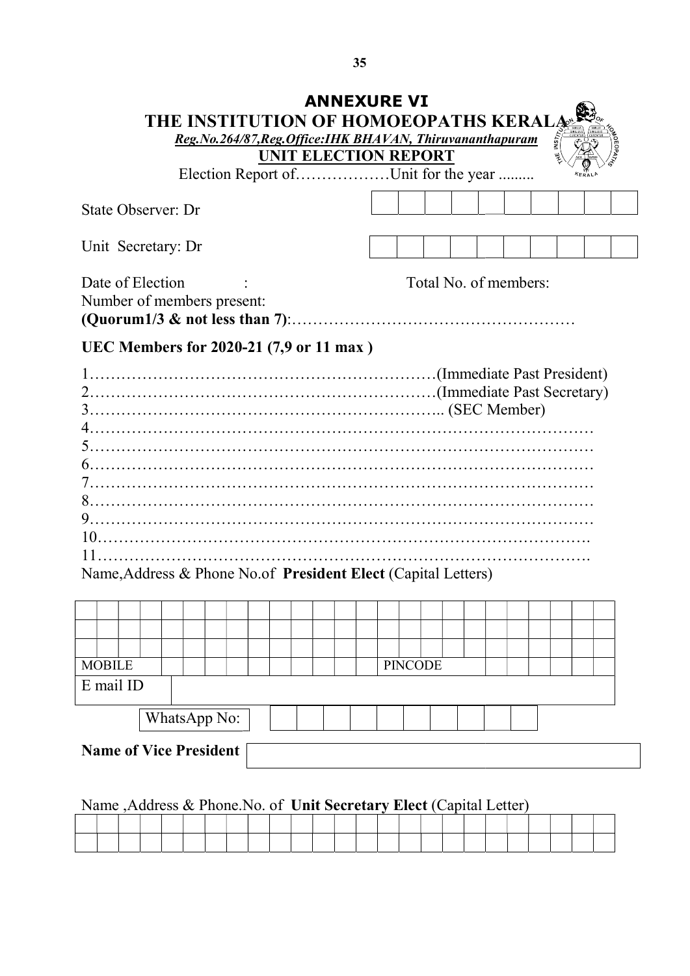|               |                                                                                                       |  | <b>THE INSTITUTION OF HOMOEOPATHS KERALAS</b><br>Reg.No.264/87, Reg. Office: IHK BHAVAN, Thiruvananthapuram | UNIT ELECTION REPORT |  | <b>ANNEXURE VI</b> |  |                       |  |  |  |  |  |  |  |
|---------------|-------------------------------------------------------------------------------------------------------|--|-------------------------------------------------------------------------------------------------------------|----------------------|--|--------------------|--|-----------------------|--|--|--|--|--|--|--|
|               |                                                                                                       |  | Election Report ofUnit for the year                                                                         |                      |  |                    |  |                       |  |  |  |  |  |  |  |
|               | State Observer: Dr                                                                                    |  |                                                                                                             |                      |  |                    |  |                       |  |  |  |  |  |  |  |
|               | Unit Secretary: Dr                                                                                    |  |                                                                                                             |                      |  |                    |  |                       |  |  |  |  |  |  |  |
|               | Date of Election<br>Number of members present:                                                        |  |                                                                                                             |                      |  |                    |  | Total No. of members: |  |  |  |  |  |  |  |
|               | UEC Members for 2020-21 (7,9 or 11 max)                                                               |  |                                                                                                             |                      |  |                    |  |                       |  |  |  |  |  |  |  |
| 5.1<br>10.    | (Immediate Past President).<br>Name, Address & Phone No.of President Elect (Capital Letters)          |  |                                                                                                             |                      |  |                    |  |                       |  |  |  |  |  |  |  |
|               |                                                                                                       |  |                                                                                                             |                      |  |                    |  |                       |  |  |  |  |  |  |  |
| <b>MOBILE</b> | E mail ID                                                                                             |  |                                                                                                             |                      |  |                    |  | <b>PINCODE</b>        |  |  |  |  |  |  |  |
|               |                                                                                                       |  |                                                                                                             |                      |  |                    |  |                       |  |  |  |  |  |  |  |
|               | <b>Name of Vice President</b><br>Name , Address & Phone. No. of Unit Secretary Elect (Capital Letter) |  | WhatsApp No:                                                                                                |                      |  |                    |  |                       |  |  |  |  |  |  |  |
|               |                                                                                                       |  |                                                                                                             |                      |  |                    |  |                       |  |  |  |  |  |  |  |
|               |                                                                                                       |  |                                                                                                             |                      |  |                    |  |                       |  |  |  |  |  |  |  |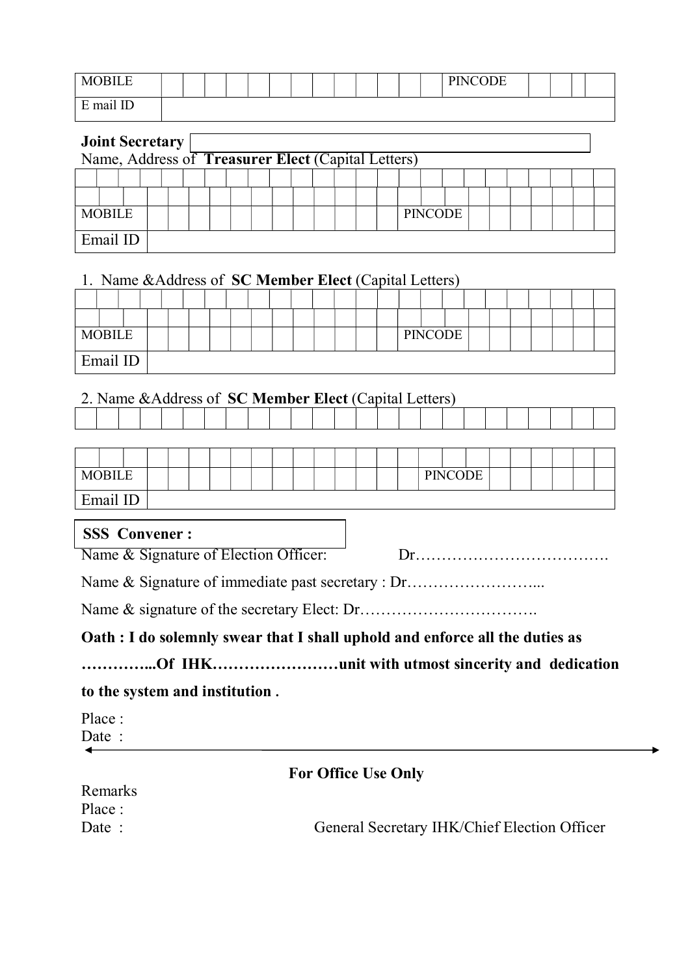| <b>MORILE</b> |  |  |  |  |  |  | <b>PINCODE</b> |  |  |
|---------------|--|--|--|--|--|--|----------------|--|--|
| E mail ID     |  |  |  |  |  |  |                |  |  |

| <b>Joint Secretary</b> |  |  |  |  |  |  | Name, Address of Treasurer Elect (Capital Letters) |  |                |  |  |  |  |
|------------------------|--|--|--|--|--|--|----------------------------------------------------|--|----------------|--|--|--|--|
|                        |  |  |  |  |  |  |                                                    |  |                |  |  |  |  |
|                        |  |  |  |  |  |  |                                                    |  |                |  |  |  |  |
| <b>MOBILE</b>          |  |  |  |  |  |  |                                                    |  | <b>PINCODE</b> |  |  |  |  |
| Email ID               |  |  |  |  |  |  |                                                    |  |                |  |  |  |  |

# 1. Name &Address of SC Member Elect (Capital Letters)

| <b>MOBILE</b> |  |  |  |  |  |  |  | <b>PINCODE</b> |  |  |  |  |
|---------------|--|--|--|--|--|--|--|----------------|--|--|--|--|
| Email ID      |  |  |  |  |  |  |  |                |  |  |  |  |

# 2. Name &Address of SC Member Elect (Capital Letters)

| <b>MOBILE</b> |  |  |  |  |  |  |  |  | PINCODE |  |  |  |  |
|---------------|--|--|--|--|--|--|--|--|---------|--|--|--|--|
| Email ID      |  |  |  |  |  |  |  |  |         |  |  |  |  |

# SSS Convener :

Name & Signature of Election Officer: Dr……………………………….

Name & Signature of immediate past secretary : Dr……………………...

Name & signature of the secretary Elect: Dr…………………………….

# Oath : I do solemnly swear that I shall uphold and enforce all the duties as

# …………...Of IHK……………………unit with utmost sincerity and dedication

# to the system and institution .

Place : Date :

# For Office Use Only

| Remarks |                                              |
|---------|----------------------------------------------|
| Place : |                                              |
| Date:   | General Secretary IHK/Chief Election Officer |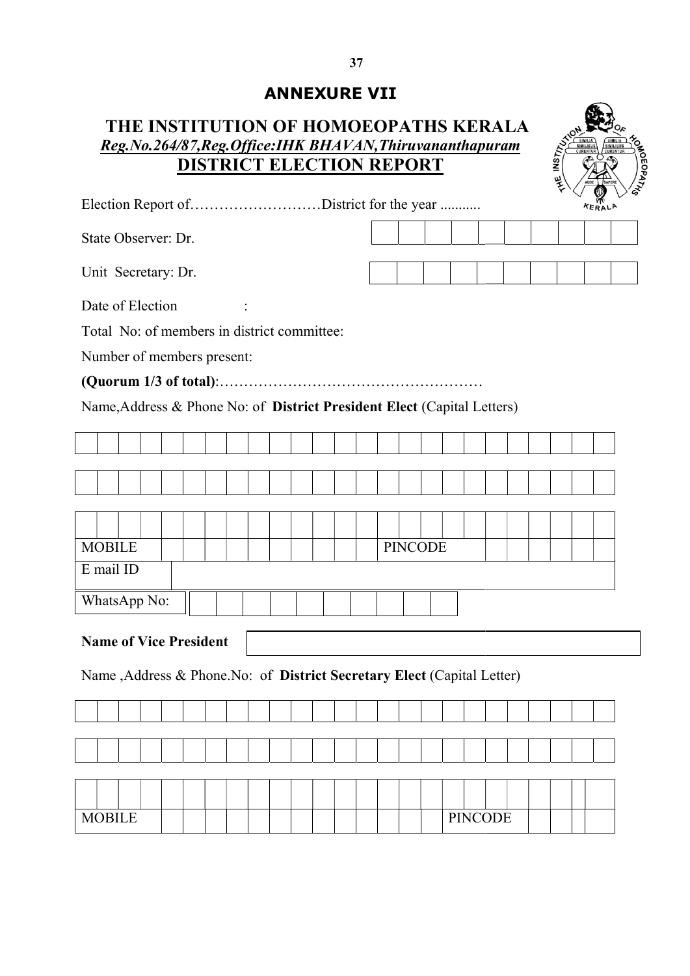# ANNEXURE VII

# THE INSTITUTION OF HOMOEOPATHS KERALA  $Reg. No.264/87, Reg. Office: IHK BHAVAN, Thiruvananthapuram\n $\sum_{S \subseteq \text{SINILUS} \atop \text{CUBREIVIR}} \sum_{S \subseteq \text{SINILUS} \atop \text{CUBREIVIR}}$$ DISTRICT ELECTION REPORT



| Reg.No.264/87, Reg. Office: IHK BHAVAN, Thiruvananthapuram<br>$MST_{12}$<br>CURENTUI<br><b>DISTRICT ELECTION REPORT</b><br>妛<br><b>KERALA</b><br><b>PINCODE</b><br><b>PINCODE</b>                                                                                              | THE INSTITUTION OF HOMOEOPATHS KERALA |  |
|--------------------------------------------------------------------------------------------------------------------------------------------------------------------------------------------------------------------------------------------------------------------------------|---------------------------------------|--|
| Election Report ofDistrict for the year<br>Total No: of members in district committee:<br>Name, Address & Phone No: of District President Elect (Capital Letters)<br><b>Name of Vice President</b><br>Name , Address & Phone. No: of District Secretary Elect (Capital Letter) |                                       |  |
|                                                                                                                                                                                                                                                                                |                                       |  |
|                                                                                                                                                                                                                                                                                | State Observer: Dr.                   |  |
|                                                                                                                                                                                                                                                                                | Unit Secretary: Dr.                   |  |
|                                                                                                                                                                                                                                                                                | Date of Election                      |  |
|                                                                                                                                                                                                                                                                                |                                       |  |
|                                                                                                                                                                                                                                                                                | Number of members present:            |  |
|                                                                                                                                                                                                                                                                                |                                       |  |
|                                                                                                                                                                                                                                                                                |                                       |  |
|                                                                                                                                                                                                                                                                                |                                       |  |
|                                                                                                                                                                                                                                                                                |                                       |  |
|                                                                                                                                                                                                                                                                                |                                       |  |
|                                                                                                                                                                                                                                                                                |                                       |  |
|                                                                                                                                                                                                                                                                                | <b>MOBILE</b>                         |  |
|                                                                                                                                                                                                                                                                                | E mail ID                             |  |
|                                                                                                                                                                                                                                                                                | WhatsApp No:                          |  |
|                                                                                                                                                                                                                                                                                |                                       |  |
|                                                                                                                                                                                                                                                                                |                                       |  |
|                                                                                                                                                                                                                                                                                |                                       |  |
|                                                                                                                                                                                                                                                                                |                                       |  |
|                                                                                                                                                                                                                                                                                |                                       |  |
|                                                                                                                                                                                                                                                                                |                                       |  |
|                                                                                                                                                                                                                                                                                |                                       |  |
|                                                                                                                                                                                                                                                                                | <b>MOBILE</b>                         |  |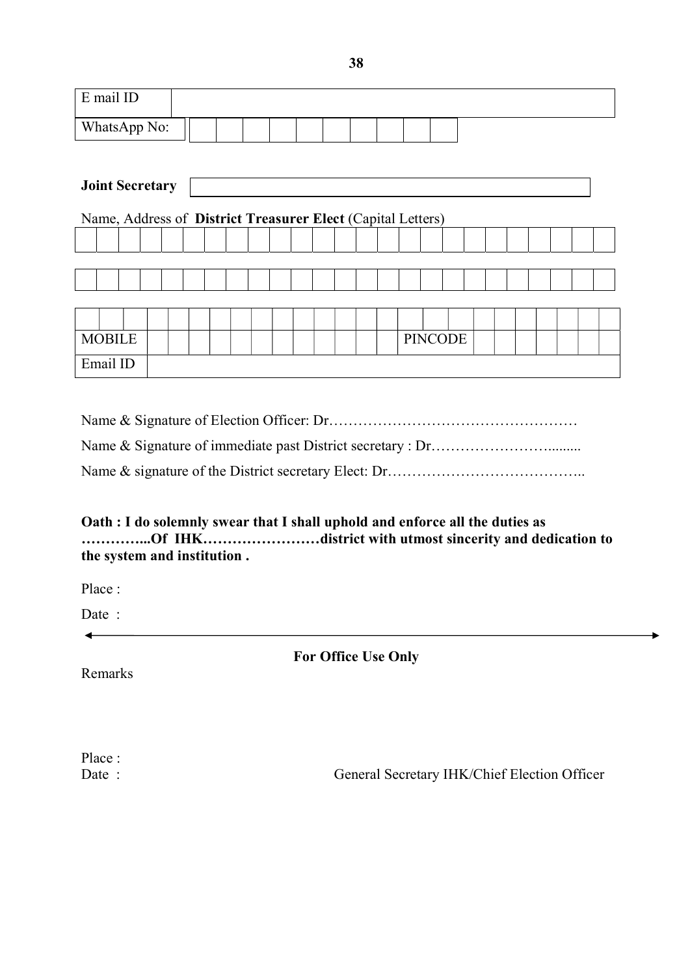| E mail ID                                                   |  |  |  |  |  |  |  |  |  |  |                |  |  |  |  |  |  |
|-------------------------------------------------------------|--|--|--|--|--|--|--|--|--|--|----------------|--|--|--|--|--|--|
| WhatsApp No:                                                |  |  |  |  |  |  |  |  |  |  |                |  |  |  |  |  |  |
|                                                             |  |  |  |  |  |  |  |  |  |  |                |  |  |  |  |  |  |
| <b>Joint Secretary</b>                                      |  |  |  |  |  |  |  |  |  |  |                |  |  |  |  |  |  |
| Name, Address of District Treasurer Elect (Capital Letters) |  |  |  |  |  |  |  |  |  |  |                |  |  |  |  |  |  |
|                                                             |  |  |  |  |  |  |  |  |  |  |                |  |  |  |  |  |  |
|                                                             |  |  |  |  |  |  |  |  |  |  |                |  |  |  |  |  |  |
|                                                             |  |  |  |  |  |  |  |  |  |  |                |  |  |  |  |  |  |
|                                                             |  |  |  |  |  |  |  |  |  |  |                |  |  |  |  |  |  |
|                                                             |  |  |  |  |  |  |  |  |  |  |                |  |  |  |  |  |  |
| <b>MOBILE</b>                                               |  |  |  |  |  |  |  |  |  |  | <b>PINCODE</b> |  |  |  |  |  |  |
| Email ID                                                    |  |  |  |  |  |  |  |  |  |  |                |  |  |  |  |  |  |

Name & Signature of Election Officer: Dr…………………………………………… Name & Signature of immediate past District secretary : Dr…………………………………………………………… Name & signature of the District secretary Elect: Dr……………………………………………………………………………

Oath : I do solemnly swear that I shall uphold and enforce all the duties as …………...Of IHK……………………district with utmost sincerity and dedication to the system and institution .

Place :

Date :

 $\overline{\phantom{0}}$ 

For Office Use Only

Remarks

Place :

Date : General Secretary IHK/Chief Election Officer

38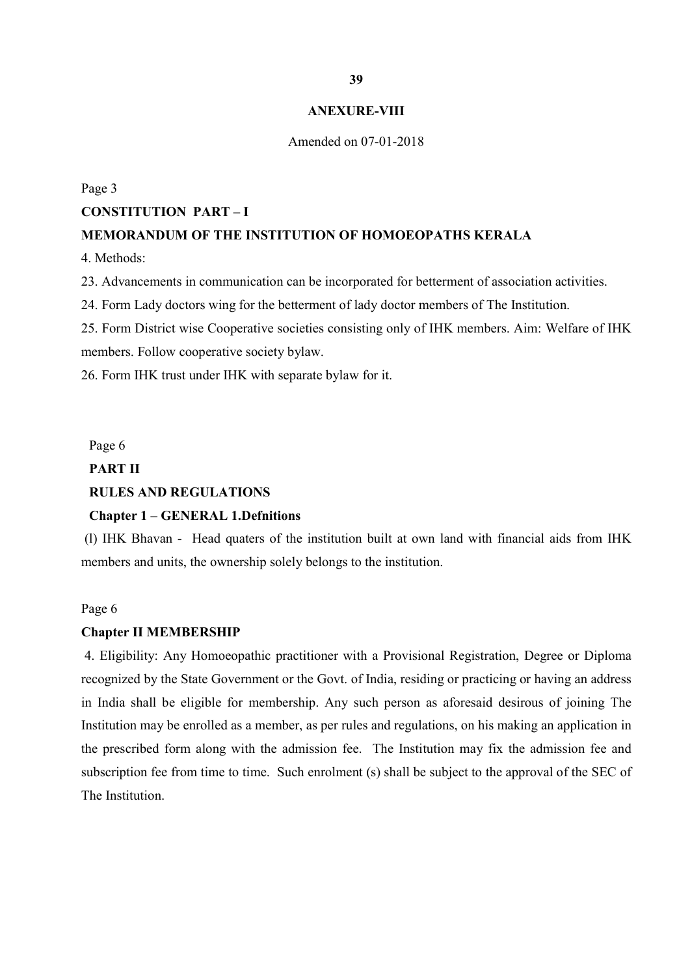#### ANEXURE-VIII

#### Amended on 07-01-2018

Page 3

### CONSTITUTION PART – I

# MEMORANDUM OF THE INSTITUTION OF HOMOEOPATHS KERALA

4. Methods:

23. Advancements in communication can be incorporated for betterment of association activities.

24. Form Lady doctors wing for the betterment of lady doctor members of The Institution.

25. Form District wise Cooperative societies consisting only of IHK members. Aim: Welfare of IHK members. Follow cooperative society bylaw.

26. Form IHK trust under IHK with separate bylaw for it.

Page 6

# PART II

# RULES AND REGULATIONS

# Chapter 1 – GENERAL 1.Defnitions

 (l) IHK Bhavan - Head quaters of the institution built at own land with financial aids from IHK members and units, the ownership solely belongs to the institution.

### Page 6

### Chapter II MEMBERSHIP

 4. Eligibility: Any Homoeopathic practitioner with a Provisional Registration, Degree or Diploma recognized by the State Government or the Govt. of India, residing or practicing or having an address in India shall be eligible for membership. Any such person as aforesaid desirous of joining The Institution may be enrolled as a member, as per rules and regulations, on his making an application in the prescribed form along with the admission fee. The Institution may fix the admission fee and subscription fee from time to time. Such enrolment (s) shall be subject to the approval of the SEC of The Institution.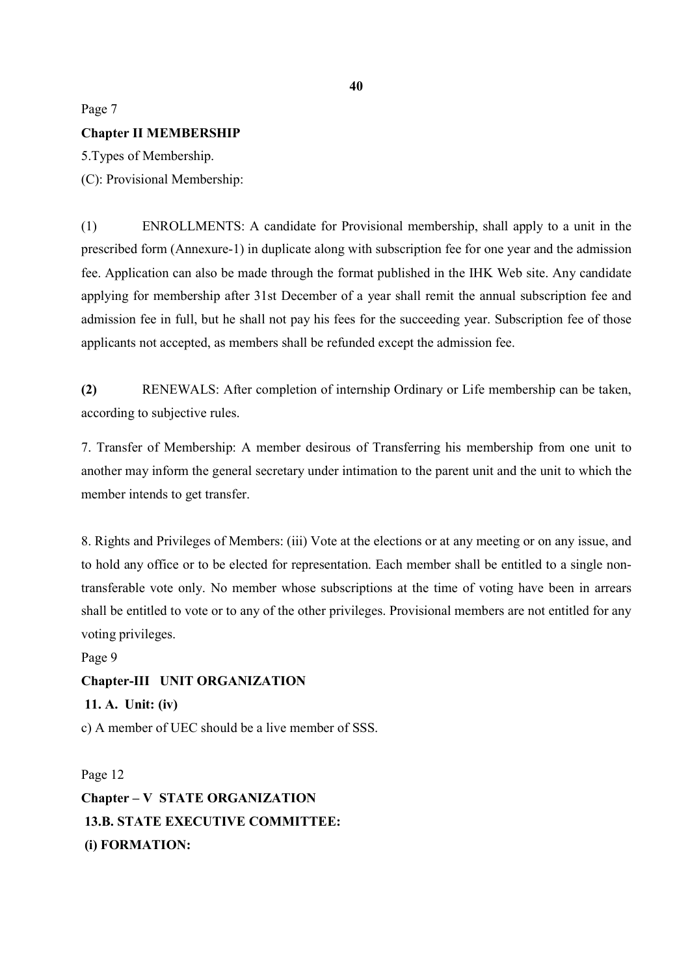# Page 7 Chapter II MEMBERSHIP

5.Types of Membership. (C): Provisional Membership:

(1) ENROLLMENTS: A candidate for Provisional membership, shall apply to a unit in the prescribed form (Annexure-1) in duplicate along with subscription fee for one year and the admission fee. Application can also be made through the format published in the IHK Web site. Any candidate applying for membership after 31st December of a year shall remit the annual subscription fee and admission fee in full, but he shall not pay his fees for the succeeding year. Subscription fee of those applicants not accepted, as members shall be refunded except the admission fee.

(2) RENEWALS: After completion of internship Ordinary or Life membership can be taken, according to subjective rules.

7. Transfer of Membership: A member desirous of Transferring his membership from one unit to another may inform the general secretary under intimation to the parent unit and the unit to which the member intends to get transfer.

8. Rights and Privileges of Members: (iii) Vote at the elections or at any meeting or on any issue, and to hold any office or to be elected for representation. Each member shall be entitled to a single nontransferable vote only. No member whose subscriptions at the time of voting have been in arrears shall be entitled to vote or to any of the other privileges. Provisional members are not entitled for any voting privileges.

Page 9 Chapter-III UNIT ORGANIZATION 11. A. Unit: (iv) c) A member of UEC should be a live member of SSS.

Page 12 Chapter – V STATE ORGANIZATION 13.B. STATE EXECUTIVE COMMITTEE: (i) FORMATION: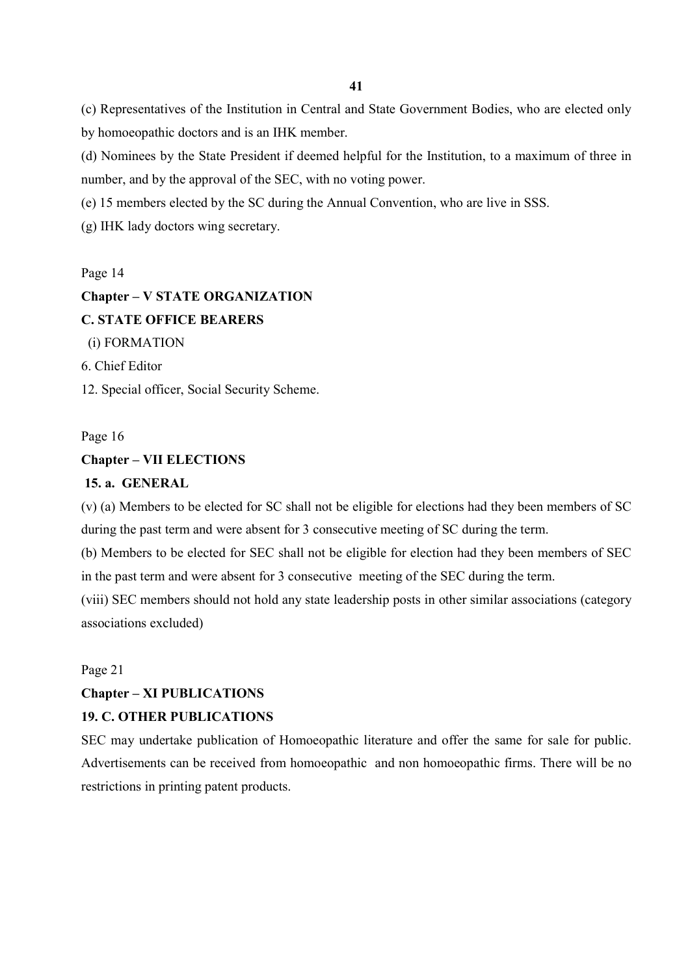(c) Representatives of the Institution in Central and State Government Bodies, who are elected only by homoeopathic doctors and is an IHK member.

(d) Nominees by the State President if deemed helpful for the Institution, to a maximum of three in number, and by the approval of the SEC, with no voting power.

(e) 15 members elected by the SC during the Annual Convention, who are live in SSS.

(g) IHK lady doctors wing secretary.

### Page 14

# Chapter – V STATE ORGANIZATION C. STATE OFFICE BEARERS (i) FORMATION 6. Chief Editor

12. Special officer, Social Security Scheme.

# Page 16 Chapter – VII ELECTIONS

### 15. a. GENERAL

(v) (a) Members to be elected for SC shall not be eligible for elections had they been members of SC during the past term and were absent for 3 consecutive meeting of SC during the term.

(b) Members to be elected for SEC shall not be eligible for election had they been members of SEC in the past term and were absent for 3 consecutive meeting of the SEC during the term.

(viii) SEC members should not hold any state leadership posts in other similar associations (category associations excluded)

### Page 21

# Chapter – XI PUBLICATIONS

# 19. C. OTHER PUBLICATIONS

SEC may undertake publication of Homoeopathic literature and offer the same for sale for public. Advertisements can be received from homoeopathic and non homoeopathic firms. There will be no restrictions in printing patent products.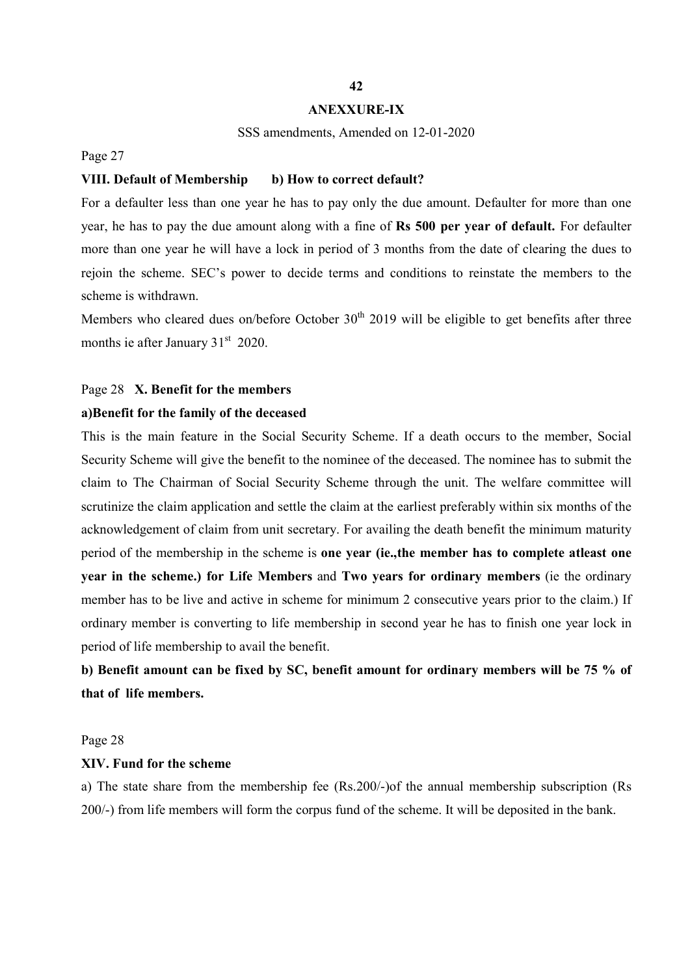# ANEXXURE-IX

#### SSS amendments, Amended on 12-01-2020

Page 27

### VIII. Default of Membership b) How to correct default?

For a defaulter less than one year he has to pay only the due amount. Defaulter for more than one year, he has to pay the due amount along with a fine of Rs 500 per year of default. For defaulter more than one year he will have a lock in period of 3 months from the date of clearing the dues to rejoin the scheme. SEC's power to decide terms and conditions to reinstate the members to the scheme is withdrawn.

Members who cleared dues on/before October  $30<sup>th</sup>$  2019 will be eligible to get benefits after three months ie after January  $31<sup>st</sup>$  2020.

### Page 28 X. Benefit for the members

### a)Benefit for the family of the deceased

This is the main feature in the Social Security Scheme. If a death occurs to the member, Social Security Scheme will give the benefit to the nominee of the deceased. The nominee has to submit the claim to The Chairman of Social Security Scheme through the unit. The welfare committee will scrutinize the claim application and settle the claim at the earliest preferably within six months of the acknowledgement of claim from unit secretary. For availing the death benefit the minimum maturity period of the membership in the scheme is one year (ie.,the member has to complete atleast one year in the scheme.) for Life Members and Two years for ordinary members (ie the ordinary member has to be live and active in scheme for minimum 2 consecutive years prior to the claim.) If ordinary member is converting to life membership in second year he has to finish one year lock in period of life membership to avail the benefit.

b) Benefit amount can be fixed by SC, benefit amount for ordinary members will be 75 % of that of life members.

### Page 28

### XIV. Fund for the scheme

a) The state share from the membership fee (Rs.200/-)of the annual membership subscription (Rs 200/-) from life members will form the corpus fund of the scheme. It will be deposited in the bank.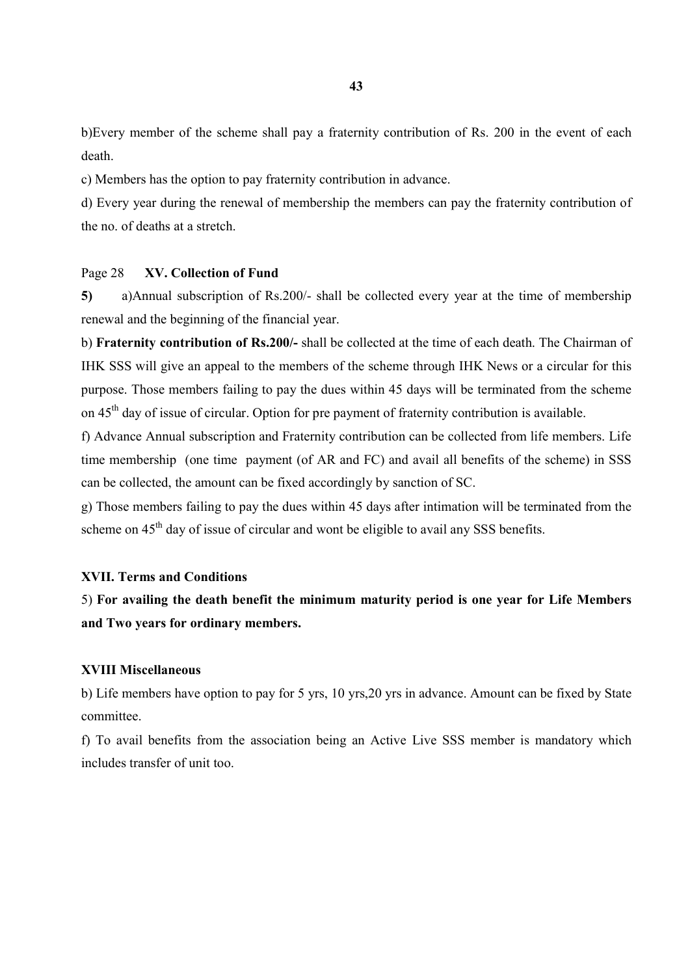b)Every member of the scheme shall pay a fraternity contribution of Rs. 200 in the event of each death.

c) Members has the option to pay fraternity contribution in advance.

d) Every year during the renewal of membership the members can pay the fraternity contribution of the no. of deaths at a stretch.

### Page 28 XV. Collection of Fund

5) a)Annual subscription of Rs.200/- shall be collected every year at the time of membership renewal and the beginning of the financial year.

b) Fraternity contribution of Rs.200/- shall be collected at the time of each death. The Chairman of IHK SSS will give an appeal to the members of the scheme through IHK News or a circular for this purpose. Those members failing to pay the dues within 45 days will be terminated from the scheme on 45<sup>th</sup> day of issue of circular. Option for pre payment of fraternity contribution is available.

f) Advance Annual subscription and Fraternity contribution can be collected from life members. Life time membership (one time payment (of AR and FC) and avail all benefits of the scheme) in SSS can be collected, the amount can be fixed accordingly by sanction of SC.

g) Those members failing to pay the dues within 45 days after intimation will be terminated from the scheme on 45<sup>th</sup> day of issue of circular and wont be eligible to avail any SSS benefits.

### XVII. Terms and Conditions

5) For availing the death benefit the minimum maturity period is one year for Life Members and Two years for ordinary members.

### XVIII Miscellaneous

b) Life members have option to pay for 5 yrs, 10 yrs,20 yrs in advance. Amount can be fixed by State committee.

f) To avail benefits from the association being an Active Live SSS member is mandatory which includes transfer of unit too.